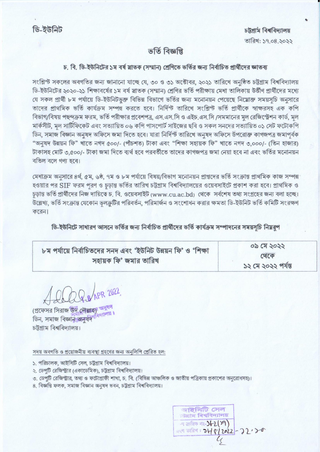## ভৰ্তি বিজ্ঞপ্নি

## চ, বি, ডি-ইউনিটের ১ম বর্ষ স্নাতক (সম্মান) শ্রেণিতে ভর্তির জন্য নির্বাচিত প্রার্থীদের জ্ঞাতব্য

সংশ্লিস্ট সকলের অবগতির জন্য জানানো যাচ্ছে যে, ৩০ ও ৩১ অক্টোবর, ২০২১ তারিখে অনুষ্ঠিত চট্টগ্রাম বিশ্ববিদ্যালয় ডি-ইউনিটের ২০২০-২১ শিক্ষাবর্ষের ১ম বর্ষ স্নাতক (সম্মান) শ্রেণির ভর্তি পরীক্ষায় মেধা তালিকায় উর্ত্তীণ প্রার্থীদের মধ্যে যে সকল প্রার্থী ৮ম পর্যায়ে ডি-ইউনিটভক্ত বিভিন্ন বিভাগে ভর্তির জন্য মনোনয়ন পেয়েছে নিম্নোক্ত সময়সচি অনসারে তাদের প্রাথমিক ভর্তি কার্যক্রম সম্পন্ন করতে হবে। নির্দিন্ট তারিখে সংশ্লিন্ট ভর্তি প্রার্থীকে স্বাক্ষরসহ এক কপি বিভাগ/বিষয় পছন্দক্রম ফরম, ভর্তি পরীক্ষার প্রবেশপত্র, এস.এস.সি ও এইচ.এস.সি /সমমানের মল রেজিস্ট্রেশন কার্ড, মল মাৰ্কসীট, মল সাৰ্টিফিকেট এবং সত্যায়িত ০৬ কপি পাসপোৰ্ট সাইজের ছবি ও সকল সনদের সত্যায়িত ০১ সেট ফটোকপি ডিন, সমাজ বিজ্ঞান অনষদ অফিসে জমা দিতে হবে। যারা নির্দিস্ট তারিখে অনষদ অফিসে উপরোক্ত কাগজপত্র জমাপর্বক "অনুষদ উন্নয়ন ফি" খাতে নগদ ৫০০/- (পাঁচশত) টাকা এবং "শিক্ষা সহায়ক ফি" খাতে নগদ ৩.০০০/- (তিন হাজার) টাকাসহ মোট ৩.৫০০/- টাকা জমা দিতে ব্যর্থ হবে পরবর্তীতে তাদের কাগজপত্র জমা নেয়া হবে না এবং ভর্তির মনোনয়ন বতিল বলে গণা হবে।

মেধাক্রম অনুসারে ৪র্থ, ৫ম. ৬ষ্ঠ, ৭ম ও ৮ম পর্যায়ে বিষয়/বিভাগ মনোনয়ন প্রাপ্তদের ভর্তি সংক্রান্ত প্রাথমিক কাজ সম্পন্ন হওয়ার পর SIF ফরম পুরণ ও চড়ান্ত ভর্তির তারিখ চট্টগ্রাম বিশ্ববিদ্যালয়ের ওয়েবসাইটে প্রকাশ করা হবে। প্রাথমিক ও চূড়ান্ত ভর্তি প্রার্থীদের নিজ দায়িত্বে চ. বি. ওয়েবসাইট (www.cu.ac.bd) থেকে সর্বশেষ তথ্য সংগ্রহের জন্য বলা হচ্ছে। উল্লেখ্য, ভর্তি সংক্রান্ত যেকোন ভলক্রটির পরিবর্তন, পরিমার্জন ও সংশোধন করার ক্ষমতা ডি-ইউনিট ভর্তি কমিটি সংরক্ষণ করেন।

ডি-ইউনিটে সাধারণ আসনে ভর্তির জন্য নির্বাচিত প্রার্থীদের ভর্তি কার্যক্রম সম্পাদনের সময়সচি নিয়রপ

| ৮ম পর্যায়ে নির্বাচিতদের সনদ এবং 'ইউনিট উন্নয়ন ফি' ও 'শিক্ষা | $0.9$ (2) $2022$ |
|---------------------------------------------------------------|------------------|
|                                                               | খেকে             |
| সহায়ক ফি' জমার তারিখ                                         | SS (J SOSS PLAT  |

2 APR 2022

(প্রফেসর সিরাজ উদ দৌল্লাহ্য অনুষদ ডিন, সমাজ বিজ্ঞান অনুষদ বিদ্যালয়। চট্টগ্রাম বিশ্ববিদ্যালয়।

সদয় অবগতি ও প্রয়োজনীয় ব্যবস্থা গ্রহণের জন্য অনুলিপি প্রেরিত হল:

- ১. পরিচালক, আইসিটি সেল, চট্টগ্রাম বিশ্ববিদ্যালয়।
- ২. ডেপুটি রেজিস্ট্রার (একাডেমিক), চট্টগ্রাম বিশ্ববিদ্যালয়।
- ৩. ডেপুটি রেজিস্ট্রার, তথ্য ও ফটোগ্রাফী শাখা, চ. বি. (বিভিন্ন আঞ্চলিক ও জাতীয় পত্রিকায় প্রকাশের অনুরোধসহ)।
- 8. বিজ্ঞপ্তি ফলক, সমাজ বিজ্ঞান অনুষদ ভবন, চট্টগ্ৰাম বিশ্ববিদ্যালয়।

ৰাইসিটি সেল ্যজ্ঞাম বিশ্ববিদ্যালয়  $= 3629$  $10022$  $-32,30$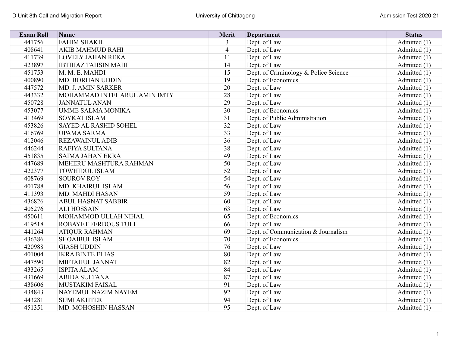| <b>Exam Roll</b> | Name                         | Merit          | <b>Department</b>                     | <b>Status</b> |
|------------------|------------------------------|----------------|---------------------------------------|---------------|
| 441756           | <b>FAHIM SHAKIL</b>          | 3              | Dept. of Law                          | Admitted (1)  |
| 408641           | <b>AKIB MAHMUD RAHI</b>      | $\overline{4}$ | Dept. of Law                          | Admitted (1)  |
| 411739           | <b>LOVELY JAHAN REKA</b>     | 11             | Dept. of Law                          | Admitted (1)  |
| 423897           | <b>IBTIHAZ TAHSIN MAHI</b>   | 14             | Dept. of Law                          | Admitted (1)  |
| 451753           | M. M. E. MAHDI               | 15             | Dept. of Criminology & Police Science | Admitted (1)  |
| 400890           | <b>MD. BORHAN UDDIN</b>      | 19             | Dept. of Economics                    | Admitted (1)  |
| 447572           | MD. J. AMIN SARKER           | 20             | Dept. of Law                          | Admitted (1)  |
| 443332           | MOHAMMAD INTEHARUL AMIN IMTY | 28             | Dept. of Law                          | Admitted (1)  |
| 450728           | <b>JANNATUL ANAN</b>         | 29             | Dept. of Law                          | Admitted (1)  |
| 453077           | <b>UMME SALMA MONIKA</b>     | 30             | Dept. of Economics                    | Admitted (1)  |
| 413469           | <b>SOYKAT ISLAM</b>          | 31             | Dept. of Public Administration        | Admitted (1)  |
| 453826           | <b>SAYED AL RASHID SOHEL</b> | 32             | Dept. of Law                          | Admitted (1)  |
| 416769           | <b>UPAMA SARMA</b>           | 33             | Dept. of Law                          | Admitted (1)  |
| 412046           | <b>REZAWAINUL ADIB</b>       | 36             | Dept. of Law                          | Admitted (1)  |
| 446244           | RAFIYA SULTANA               | 38             | Dept. of Law                          | Admitted (1)  |
| 451835           | <b>SAIMA JAHAN EKRA</b>      | 49             | Dept. of Law                          | Admitted (1)  |
| 447689           | MEHERU MASHTURA RAHMAN       | 50             | Dept. of Law                          | Admitted (1)  |
| 422377           | <b>TOWHIDUL ISLAM</b>        | 52             | Dept. of Law                          | Admitted (1)  |
| 408769           | <b>SOUROV ROY</b>            | 54             | Dept. of Law                          | Admitted (1)  |
| 401788           | MD. KHAIRUL ISLAM            | 56             | Dept. of Law                          | Admitted (1)  |
| 411393           | MD. MAHDI HASAN              | 59             | Dept. of Law                          | Admitted (1)  |
| 436826           | <b>ABUL HASNAT SABBIR</b>    | 60             | Dept. of Law                          | Admitted (1)  |
| 405276           | <b>ALI HOSSAIN</b>           | 63             | Dept. of Law                          | Admitted (1)  |
| 450611           | MOHAMMOD ULLAH NIHAL         | 65             | Dept. of Economics                    | Admitted (1)  |
| 419518           | <b>ROBAYET FERDOUS TULI</b>  | 66             | Dept. of Law                          | Admitted (1)  |
| 441264           | <b>ATIQUR RAHMAN</b>         | 69             | Dept. of Communication & Journalism   | Admitted (1)  |
| 436386           | <b>SHOAIBUL ISLAM</b>        | 70             | Dept. of Economics                    | Admitted (1)  |
| 420988           | <b>GIASH UDDIN</b>           | 76             | Dept. of Law                          | Admitted (1)  |
| 401004           | <b>IKRA BINTE ELIAS</b>      | 80             | Dept. of Law                          | Admitted (1)  |
| 447590           | MIFTAHUL JANNAT              | 82             | Dept. of Law                          | Admitted (1)  |
| 433265           | <b>ISPITA ALAM</b>           | 84             | Dept. of Law                          | Admitted (1)  |
| 431669           | <b>ABIDA SULTANA</b>         | 87             | Dept. of Law                          | Admitted (1)  |
| 438606           | <b>MUSTAKIM FAISAL</b>       | 91             | Dept. of Law                          | Admitted (1)  |
| 434843           | NAYEMUL NAZIM NAYEM          | 92             | Dept. of Law                          | Admitted (1)  |
| 443281           | <b>SUMI AKHTER</b>           | 94             | Dept. of Law                          | Admitted (1)  |
| 451351           | MD. MOHOSHIN HASSAN          | 95             | Dept. of Law                          | Admitted (1)  |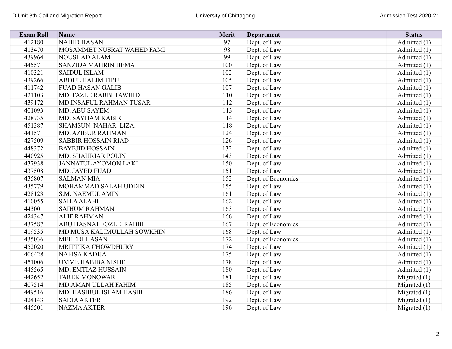| <b>Exam Roll</b> | Name                        | Merit | <b>Department</b>  | <b>Status</b>  |
|------------------|-----------------------------|-------|--------------------|----------------|
| 412180           | <b>NAHID HASAN</b>          | 97    | Dept. of Law       | Admitted (1)   |
| 413470           | MOSAMMET NUSRAT WAHED FAMI  | 98    | Dept. of Law       | Admitted (1)   |
| 439964           | <b>NOUSHAD ALAM</b>         | 99    | Dept. of Law       | Admitted (1)   |
| 445571           | SANZIDA MAHRIN HEMA         | 100   | Dept. of Law       | Admitted (1)   |
| 410321           | <b>SAIDUL ISLAM</b>         | 102   | Dept. of Law       | Admitted (1)   |
| 439266           | <b>ABDUL HALIM TIPU</b>     | 105   | Dept. of Law       | Admitted (1)   |
| 411742           | <b>FUAD HASAN GALIB</b>     | 107   | Dept. of Law       | Admitted (1)   |
| 421103           | MD. FAZLE RABBI TAWHID      | 110   | Dept. of Law       | Admitted (1)   |
| 439172           | MD.INSAFUL RAHMAN TUSAR     | 112   | Dept. of Law       | Admitted (1)   |
| 401093           | <b>MD. ABU SAYEM</b>        | 113   | Dept. of Law       | Admitted (1)   |
| 428735           | MD. SAYHAM KABIR            | 114   | Dept. of Law       | Admitted (1)   |
| 451387           | SHAMSUN NAHAR LIZA.         | 118   | Dept. of Law       | Admitted (1)   |
| 441571           | <b>MD. AZIBUR RAHMAN</b>    | 124   | Dept. of Law       | Admitted (1)   |
| 427509           | <b>SABBIR HOSSAIN RIAD</b>  | 126   | Dept. of Law       | Admitted (1)   |
| 448372           | <b>BAYEJID HOSSAIN</b>      | 132   | Dept. of Law       | Admitted (1)   |
| 440925           | <b>MD. SHAHRIAR POLIN</b>   | 143   | Dept. of Law       | Admitted (1)   |
| 437938           | <b>JANNATUL AYOMON LAKI</b> | 150   | Dept. of Law       | Admitted (1)   |
| 437508           | <b>MD. JAYED FUAD</b>       | 151   | Dept. of Law       | Admitted (1)   |
| 435807           | <b>SALMAN MIA</b>           | 152   | Dept. of Economics | Admitted (1)   |
| 435779           | MOHAMMAD SALAH UDDIN        | 155   | Dept. of Law       | Admitted (1)   |
| 428123           | <b>S.M. NAEMUL AMIN</b>     | 161   | Dept. of Law       | Admitted (1)   |
| 410055           | <b>SAILA ALAHI</b>          | 162   | Dept. of Law       | Admitted (1)   |
| 443001           | <b>SAIHUM RAHMAN</b>        | 163   | Dept. of Law       | Admitted (1)   |
| 424347           | <b>ALIF RAHMAN</b>          | 166   | Dept. of Law       | Admitted (1)   |
| 437587           | ABU HASNAT FOZLE RABBI      | 167   | Dept. of Economics | Admitted (1)   |
| 419535           | MD.MUSA KALIMULLAH SOWKHIN  | 168   | Dept. of Law       | Admitted (1)   |
| 435036           | <b>MEHEDI HASAN</b>         | 172   | Dept. of Economics | Admitted (1)   |
| 452020           | MRITTIKA CHOWDHURY          | 174   | Dept. of Law       | Admitted (1)   |
| 406428           | <b>NAFISA KADIJA</b>        | 175   | Dept. of Law       | Admitted (1)   |
| 451006           | <b>UMME HABIBA NISHE</b>    | 178   | Dept. of Law       | Admitted (1)   |
| 445565           | MD. EMTIAZ HUSSAIN          | 180   | Dept. of Law       | Admitted (1)   |
| 442652           | <b>TAREK MONOWAR</b>        | 181   | Dept. of Law       | Migrated $(1)$ |
| 407514           | MD.AMAN ULLAH FAHIM         | 185   | Dept. of Law       | Migrated $(1)$ |
| 449516           | MD. HASIBUL ISLAM HASIB     | 186   | Dept. of Law       | Migrated $(1)$ |
| 424143           | <b>SADIA AKTER</b>          | 192   | Dept. of Law       | Migrated $(1)$ |
| 445501           | <b>NAZMA AKTER</b>          | 196   | Dept. of Law       | Migrated $(1)$ |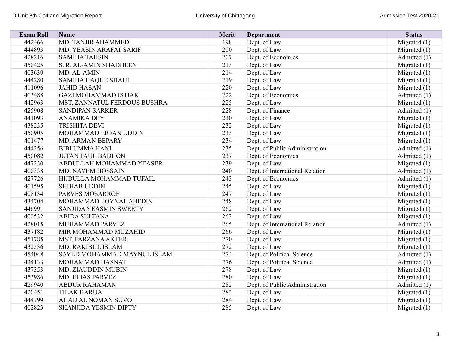| <b>Exam Roll</b> | Name                               | <b>Merit</b> | <b>Department</b>               | <b>Status</b>  |
|------------------|------------------------------------|--------------|---------------------------------|----------------|
| 442466           | <b>MD. TANJIR AHAMMED</b>          | 198          | Dept. of Law                    | Migrated $(1)$ |
| 444893           | MD. YEASIN ARAFAT SARIF            | 200          | Dept. of Law                    | Migrated (1)   |
| 428216           | <b>SAMIHA TAHSIN</b>               | 207          | Dept. of Economics              | Admitted (1)   |
| 450425           | S. R. AL-AMIN SHADHEEN             | 213          | Dept. of Law                    | Migrated $(1)$ |
| 403639           | MD. AL-AMIN                        | 214          | Dept. of Law                    | Migrated $(1)$ |
| 444280           | <b>SAMIHA HAQUE SHAHI</b>          | 219          | Dept. of Law                    | Migrated $(1)$ |
| 411096           | <b>JAHID HASAN</b>                 | 220          | Dept. of Law                    | Migrated $(1)$ |
| 403488           | <b>GAZI MOHAMMAD ISTIAK</b>        | 222          | Dept. of Economics              | Admitted (1)   |
| 442963           | MST. ZANNATUL FERDOUS BUSHRA       | 225          | Dept. of Law                    | Migrated $(1)$ |
| 425908           | <b>SANDIPAN SARKER</b>             | 228          | Dept. of Finance                | Admitted (1)   |
| 441093           | <b>ANAMIKA DEY</b>                 | 230          | Dept. of Law                    | Migrated $(1)$ |
| 438235           | <b>TRISHITA DEVI</b>               | 232          | Dept. of Law                    | Migrated $(1)$ |
| 450905           | MOHAMMAD ERFAN UDDIN               | 233          | Dept. of Law                    | Migrated $(1)$ |
| 401477           | <b>MD. ARMAN BEPARY</b>            | 234          | Dept. of Law                    | Migrated $(1)$ |
| 444356           | <b>BIBI UMMA HANI</b>              | 235          | Dept. of Public Administration  | Admitted (1)   |
| 450082           | <b>JUTAN PAUL BADHON</b>           | 237          | Dept. of Economics              | Admitted (1)   |
| 447330           | ABDULLAH MOHAMMAD YEASER           | 239          | Dept. of Law                    | Migrated $(1)$ |
| 400338           | MD. NAYEM HOSSAIN                  | 240          | Dept. of International Relation | Admitted (1)   |
| 427726           | HIJBULLA MOHAMMAD TUFAIL           | 243          | Dept. of Economics              | Admitted (1)   |
| 401595           | <b>SHIHAB UDDIN</b>                | 245          | Dept. of Law                    | Migrated $(1)$ |
| 408134           | <b>PARVES MOSARROF</b>             | 247          | Dept. of Law                    | Migrated $(1)$ |
| 434704           | MOHAMMAD JOYNAL ABEDIN             | 248          | Dept. of Law                    | Migrated $(1)$ |
| 446991           | <b>SANJIDA YEASMIN SWEETY</b>      | 262          | Dept. of Law                    | Migrated $(1)$ |
| 400532           | <b>ABIDA SULTANA</b>               | 263          | Dept. of Law                    | Migrated $(1)$ |
| 428015           | MUHAMMAD PARVEZ                    | 265          | Dept. of International Relation | Admitted (1)   |
| 437182           | MIR MOHAMMAD MUZAHID               | 266          | Dept. of Law                    | Migrated $(1)$ |
| 451785           | <b>MST. FARZANA AKTER</b>          | 270          | Dept. of Law                    | Migrated $(1)$ |
| 432536           | MD. RAKIBUL ISLAM                  | 272          | Dept. of Law                    | Migrated $(1)$ |
| 454048           | <b>SAYED MOHAMMAD MAYNUL ISLAM</b> | 274          | Dept. of Political Science      | Admitted (1)   |
| 434133           | MOHAMMAD HASNAT                    | 276          | Dept. of Political Science      | Admitted (1)   |
| 437353           | <b>MD. ZIAUDDIN MUBIN</b>          | 278          | Dept. of Law                    | Migrated $(1)$ |
| 453986           | <b>MD. ELIAS PARVEZ</b>            | 280          | Dept. of Law                    | Migrated $(1)$ |
| 429940           | <b>ABDUR RAHAMAN</b>               | 282          | Dept. of Public Administration  | Admitted (1)   |
| 420451           | <b>TILAK BARUA</b>                 | 283          | Dept. of Law                    | Migrated $(1)$ |
| 444799           | <b>AHAD AL NOMAN SUVO</b>          | 284          | Dept. of Law                    | Migrated $(1)$ |
| 402823           | <b>SHANJIDA YESMIN DIPTY</b>       | 285          | Dept. of Law                    | Migrated $(1)$ |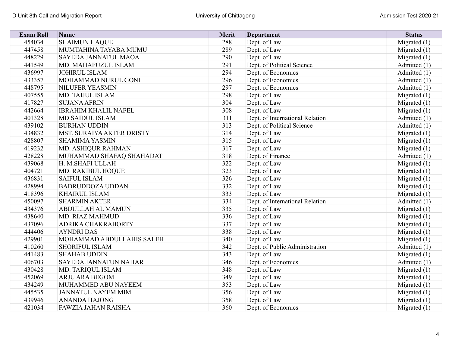| <b>Exam Roll</b> | Name                         | Merit | <b>Department</b>               | <b>Status</b>  |
|------------------|------------------------------|-------|---------------------------------|----------------|
| 454034           | <b>SHAIMUN HAQUE</b>         | 288   | Dept. of Law                    | Migrated $(1)$ |
| 447458           | MUMTAHINA TAYABA MUMU        | 289   | Dept. of Law                    | Migrated $(1)$ |
| 448229           | SAYEDA JANNATUL MAOA         | 290   | Dept. of Law                    | Migrated $(1)$ |
| 441549           | MD. MAHAFUZUL ISLAM          | 291   | Dept. of Political Science      | Admitted (1)   |
| 436997           | <b>JOHIRUL ISLAM</b>         | 294   | Dept. of Economics              | Admitted (1)   |
| 433357           | MOHAMMAD NURUL GONI          | 296   | Dept. of Economics              | Admitted (1)   |
| 448795           | <b>NILUFER YEASMIN</b>       | 297   | Dept. of Economics              | Admitted (1)   |
| 407555           | <b>MD. TAIJUL ISLAM</b>      | 298   | Dept. of Law                    | Migrated $(1)$ |
| 417827           | <b>SUJANA AFRIN</b>          | 304   | Dept. of Law                    | Migrated $(1)$ |
| 442664           | <b>IBRAHIM KHALIL NAFEL</b>  | 308   | Dept. of Law                    | Migrated $(1)$ |
| 401328           | <b>MD.SAIDUL ISLAM</b>       | 311   | Dept. of International Relation | Admitted (1)   |
| 439102           | <b>BURHAN UDDIN</b>          | 313   | Dept. of Political Science      | Admitted (1)   |
| 434832           | MST. SURAIYA AKTER DRISTY    | 314   | Dept. of Law                    | Migrated $(1)$ |
| 428807           | <b>SHAMIMA YASMIN</b>        | 315   | Dept. of Law                    | Migrated $(1)$ |
| 419232           | <b>MD. ASHIQUR RAHMAN</b>    | 317   | Dept. of Law                    | Migrated $(1)$ |
| 428228           | MUHAMMAD SHAFAQ SHAHADAT     | 318   | Dept. of Finance                | Admitted (1)   |
| 439068           | H. M.SHAFI ULLAH             | 322   | Dept. of Law                    | Migrated $(1)$ |
| 404721           | MD. RAKIBUL HOQUE            | 323   | Dept. of Law                    | Migrated $(1)$ |
| 436831           | <b>SAIFUL ISLAM</b>          | 326   | Dept. of Law                    | Migrated $(1)$ |
| 428994           | <b>BADRUDDOZA UDDAN</b>      | 332   | Dept. of Law                    | Migrated $(1)$ |
| 418396           | <b>KHAIRUL ISLAM</b>         | 333   | Dept. of Law                    | Migrated $(1)$ |
| 450097           | <b>SHARMIN AKTER</b>         | 334   | Dept. of International Relation | Admitted (1)   |
| 434376           | <b>ABDULLAH AL MAMUN</b>     | 335   | Dept. of Law                    | Migrated $(1)$ |
| 438640           | MD. RIAZ MAHMUD              | 336   | Dept. of Law                    | Migrated $(1)$ |
| 437096           | <b>ADRIKA CHAKRABORTY</b>    | 337   | Dept. of Law                    | Migrated $(1)$ |
| 444406           | <b>AYNDRI DAS</b>            | 338   | Dept. of Law                    | Migrated (1)   |
| 429901           | MOHAMMAD ABDULLAHIS SALEH    | 340   | Dept. of Law                    | Migrated $(1)$ |
| 410260           | <b>SHORIFUL ISLAM</b>        | 342   | Dept. of Public Administration  | Admitted (1)   |
| 441483           | <b>SHAHAB UDDIN</b>          | 343   | Dept. of Law                    | Migrated $(1)$ |
| 406703           | <b>SAYEDA JANNATUN NAHAR</b> | 346   | Dept. of Economics              | Admitted (1)   |
| 430428           | MD. TARIQUL ISLAM            | 348   | Dept. of Law                    | Migrated $(1)$ |
| 452069           | <b>ARJU ARA BEGOM</b>        | 349   | Dept. of Law                    | Migrated $(1)$ |
| 434249           | MUHAMMED ABU NAYEEM          | 353   | Dept. of Law                    | Migrated $(1)$ |
| 445535           | <b>JANNATUL NAYEM MIM</b>    | 356   | Dept. of Law                    | Migrated $(1)$ |
| 439946           | <b>ANANDA HAJONG</b>         | 358   | Dept. of Law                    | Migrated $(1)$ |
| 421034           | <b>FAWZIA JAHAN RAISHA</b>   | 360   | Dept. of Economics              | Migrated $(1)$ |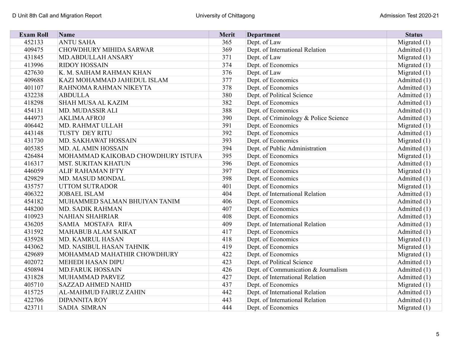| <b>Exam Roll</b> | Name                               | Merit | <b>Department</b>                     | <b>Status</b>  |
|------------------|------------------------------------|-------|---------------------------------------|----------------|
| 452133           | <b>ANTU SAHA</b>                   | 365   | Dept. of Law                          | Migrated $(1)$ |
| 409475           | CHOWDHURY MIHIDA SARWAR            | 369   | Dept. of International Relation       | Admitted (1)   |
| 431845           | <b>MD.ABDULLAH ANSARY</b>          | 371   | Dept. of Law                          | Migrated $(1)$ |
| 413996           | <b>RIDOY HOSSAIN</b>               | 374   | Dept. of Economics                    | Migrated $(1)$ |
| 427630           | K. M. SAIHAM RAHMAN KHAN           | 376   | Dept. of Law                          | Migrated $(1)$ |
| 409688           | KAZI MOHAMMAD JAHEDUL ISLAM        | 377   | Dept. of Economics                    | Admitted (1)   |
| 401107           | RAHNOMA RAHMAN NIKEYTA             | 378   | Dept. of Economics                    | Admitted (1)   |
| 432238           | <b>ABDULLA</b>                     | 380   | Dept. of Political Science            | Admitted (1)   |
| 418298           | <b>SHAH MUSA AL KAZIM</b>          | 382   | Dept. of Economics                    | Admitted (1)   |
| 454131           | <b>MD. MUDASSIR ALI</b>            | 388   | Dept. of Economics                    | Admitted (1)   |
| 444973           | <b>AKLIMA AFROJ</b>                | 390   | Dept. of Criminology & Police Science | Admitted (1)   |
| 406442           | MD. RAHMAT ULLAH                   | 391   | Dept. of Economics                    | Migrated $(1)$ |
| 443148           | <b>TUSTY DEY RITU</b>              | 392   | Dept. of Economics                    | Admitted (1)   |
| 431730           | MD. SAKHAWAT HOSSAIN               | 393   | Dept. of Economics                    | Migrated $(1)$ |
| 405385           | MD. AL AMIN HOSSAIN                | 394   | Dept. of Public Administration        | Admitted (1)   |
| 426484           | MOHAMMAD KAIKOBAD CHOWDHURY ISTUFA | 395   | Dept. of Economics                    | Migrated $(1)$ |
| 416317           | <b>MST. SUKITAN KHATUN</b>         | 396   | Dept. of Economics                    | Admitted (1)   |
| 446059           | <b>ALIF RAHAMAN IFTY</b>           | 397   | Dept. of Economics                    | Migrated $(1)$ |
| 429829           | MD. MASUD MONDAL                   | 398   | Dept. of Economics                    | Admitted (1)   |
| 435757           | <b>UTTOM SUTRADOR</b>              | 401   | Dept. of Economics                    | Migrated $(1)$ |
| 406322           | <b>JOBAEL ISLAM</b>                | 404   | Dept. of International Relation       | Admitted (1)   |
| 454182           | MUHAMMED SALMAN BHUIYAN TANIM      | 406   | Dept. of Economics                    | Admitted (1)   |
| 448200           | <b>MD. SADIK RAHMAN</b>            | 407   | Dept. of Economics                    | Admitted (1)   |
| 410923           | <b>NAHIAN SHAHRIAR</b>             | 408   | Dept. of Economics                    | Admitted (1)   |
| 436205           | SAMIA MOSTAFA RIFA                 | 409   | Dept. of International Relation       | Admitted (1)   |
| 431592           | <b>MAHABUB ALAM SAIKAT</b>         | 417   | Dept. of Economics                    | Admitted (1)   |
| 435928           | MD. KAMRUL HASAN                   | 418   | Dept. of Economics                    | Migrated $(1)$ |
| 443062           | MD. NASIBUL HASAN TAHNIK           | 419   | Dept. of Economics                    | Migrated $(1)$ |
| 429689           | MOHAMMAD MAHATHIR CHOWDHURY        | 422   | Dept. of Economics                    | Migrated $(1)$ |
| 402072           | <b>MEHEDI HASAN DIPU</b>           | 423   | Dept. of Political Science            | Admitted (1)   |
| 450894           | <b>MD.FARUK HOSSAIN</b>            | 426   | Dept. of Communication & Journalism   | Admitted (1)   |
| 431828           | MUHAMMAD PARVEZ                    | 427   | Dept. of International Relation       | Admitted (1)   |
| 405710           | <b>SAZZAD AHMED NAHID</b>          | 437   | Dept. of Economics                    | Migrated $(1)$ |
| 415725           | <b>AL-MAHMUD FAIRUZ ZAHIN</b>      | 442   | Dept. of International Relation       | Admitted (1)   |
| 422706           | <b>DIPANNITA ROY</b>               | 443   | Dept. of International Relation       | Admitted (1)   |
| 423711           | <b>SADIA SIMRAN</b>                | 444   | Dept. of Economics                    | Migrated $(1)$ |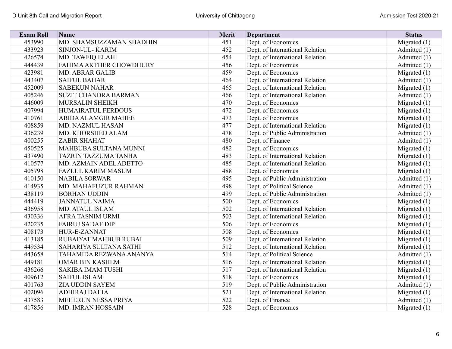| <b>Exam Roll</b> | Name                         | <b>Merit</b> | <b>Department</b>               | <b>Status</b>  |
|------------------|------------------------------|--------------|---------------------------------|----------------|
| 453990           | MD. SHAMSUZZAMAN SHADHIN     | 451          | Dept. of Economics              | Migrated $(1)$ |
| 433923           | <b>SINJON-UL-KARIM</b>       | 452          | Dept. of International Relation | Admitted (1)   |
| 426574           | MD. TAWFIQ ELAHI             | 454          | Dept. of International Relation | Admitted (1)   |
| 444439           | FAHIMA AKTHER CHOWDHURY      | 456          | Dept. of Economics              | Admitted (1)   |
| 423981           | <b>MD. ABRAR GALIB</b>       | 459          | Dept. of Economics              | Migrated $(1)$ |
| 443407           | <b>SAIFUL BAHAR</b>          | 464          | Dept. of International Relation | Admitted (1)   |
| 452009           | <b>SABEKUN NAHAR</b>         | 465          | Dept. of International Relation | Migrated $(1)$ |
| 405246           | <b>SUZIT CHANDRA BARMAN</b>  | 466          | Dept. of International Relation | Admitted (1)   |
| 446009           | MURSALIN SHEIKH              | 470          | Dept. of Economics              | Migrated $(1)$ |
| 407994           | HUMAIRATUL FERDOUS           | 472          | Dept. of Economics              | Migrated $(1)$ |
| 410761           | <b>ABIDA ALAMGIR MAHEE</b>   | 473          | Dept. of Economics              | Migrated (1)   |
| 408859           | MD. NAZMUL HASAN             | 477          | Dept. of International Relation | Migrated $(1)$ |
| 436239           | MD. KHORSHED ALAM            | 478          | Dept. of Public Administration  | Admitted (1)   |
| 400255           | <b>ZABIR SHAHAT</b>          | 480          | Dept. of Finance                | Admitted (1)   |
| 450525           | MAHBUBA SULTANA MUNNI        | 482          | Dept. of Economics              | Migrated $(1)$ |
| 437490           | <b>TAZRIN TAZZUMA TANHA</b>  | 483          | Dept. of International Relation | Migrated $(1)$ |
| 410577           | MD. AZMAIN ADEL ADETTO       | 485          | Dept. of International Relation | Migrated $(1)$ |
| 405798           | <b>FAZLUL KARIM MASUM</b>    | 488          | Dept. of Economics              | Migrated $(1)$ |
| 410150           | <b>NABILA SORWAR</b>         | 495          | Dept. of Public Administration  | Admitted (1)   |
| 414935           | MD. MAHAFUZUR RAHMAN         | 498          | Dept. of Political Science      | Admitted (1)   |
| 438119           | <b>BORHAN UDDIN</b>          | 499          | Dept. of Public Administration  | Admitted (1)   |
| 444419           | <b>JANNATUL NAIMA</b>        | 500          | Dept. of Economics              | Migrated $(1)$ |
| 436958           | <b>MD. ATAUL ISLAM</b>       | 502          | Dept. of International Relation | Migrated $(1)$ |
| 430336           | <b>AFRA TASNIM URMI</b>      | 503          | Dept. of International Relation | Migrated $(1)$ |
| 420235           | <b>FAIRUJ SADAF DIP</b>      | 506          | Dept. of Economics              | Migrated $(1)$ |
| 408173           | HUR-E-ZANNAT                 | 508          | Dept. of Economics              | Migrated (1)   |
| 413185           | <b>RUBAIYAT MAHBUB RUBAI</b> | 509          | Dept. of International Relation | Migrated $(1)$ |
| 449534           | SAHARIYA SULTANA SATHI       | 512          | Dept. of International Relation | Migrated $(1)$ |
| 443658           | TAHAMIDA REZWANA ANANYA      | 514          | Dept. of Political Science      | Admitted (1)   |
| 449181           | <b>OMAR BIN KASHEM</b>       | 516          | Dept. of International Relation | Migrated $(1)$ |
| 436266           | <b>SAKIBA IMAM TUSHI</b>     | 517          | Dept. of International Relation | Migrated $(1)$ |
| 409612           | <b>SAIFUL ISLAM</b>          | 518          | Dept. of Economics              | Migrated $(1)$ |
| 401763           | <b>ZIA UDDIN SAYEM</b>       | 519          | Dept. of Public Administration  | Admitted (1)   |
| 402096           | <b>ADHIRAJ DATTA</b>         | 521          | Dept. of International Relation | Migrated $(1)$ |
| 437583           | MEHERUN NESSA PRIYA          | 522          | Dept. of Finance                | Admitted (1)   |
| 417856           | <b>MD. IMRAN HOSSAIN</b>     | 528          | Dept. of Economics              | Migrated $(1)$ |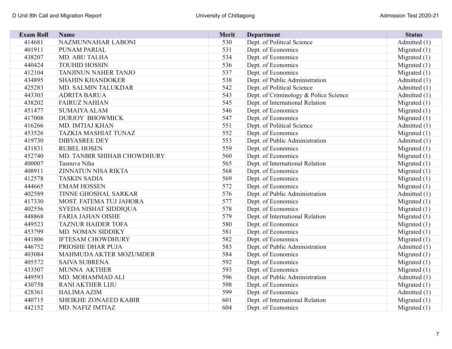| <b>Exam Roll</b> | Name                        | <b>Merit</b> | <b>Department</b>                     | <b>Status</b>  |
|------------------|-----------------------------|--------------|---------------------------------------|----------------|
| 414681           | NAZMUNNAHAR LABONI          | 530          | Dept. of Political Science            | Admitted (1)   |
| 401911           | PUNAM PARIAL                | 531          | Dept. of Economics                    | Migrated $(1)$ |
| 438207           | MD. ABU TALHA               | 534          | Dept. of Economics                    | Migrated $(1)$ |
| 440424           | <b>TOUHID HOSSIN</b>        | 536          | Dept. of Economics                    | Migrated $(1)$ |
| 412104           | <b>TANJINUN NAHER TANJO</b> | 537          | Dept. of Economics                    | Migrated $(1)$ |
| 434895           | <b>SHAHIN KHANDOKER</b>     | 538          | Dept. of Public Administration        | Admitted (1)   |
| 425283           | MD. SALMIN TALUKDAR         | 542          | Dept. of Political Science            | Admitted (1)   |
| 443303           | <b>ADRITA BARUA</b>         | 543          | Dept. of Criminology & Police Science | Admitted (1)   |
| 438202           | <b>FAIRUZ NAHIAN</b>        | 545          | Dept. of International Relation       | Migrated $(1)$ |
| 451477           | <b>SUMAIYA ALAM</b>         | 546          | Dept. of Economics                    | Migrated $(1)$ |
| 417008           | <b>DURJOY BHOWMICK</b>      | 547          | Dept. of Economics                    | Migrated (1)   |
| 416266           | <b>MD. IMTIAJ KHAN</b>      | 551          | Dept. of Political Science            | Admitted (1)   |
| 453526           | <b>TAZKIA MASHIAT TUNAZ</b> | 552          | Dept. of Economics                    | Migrated $(1)$ |
| 419730           | <b>DIBYASREE DEY</b>        | 553          | Dept. of Public Administration        | Admitted (1)   |
| 431831           | <b>RUBEL HOSEN</b>          | 559          | Dept. of Economics                    | Migrated $(1)$ |
| 452740           | MD. TANBIR SHIHAB CHOWDHURY | 560          | Dept. of Economics                    | Migrated $(1)$ |
| 400007           | Tasnuva Niha                | 565          | Dept. of International Relation       | Migrated $(1)$ |
| 408911           | <b>ZINNATUN NISA RIKTA</b>  | 568          | Dept. of Economics                    | Migrated $(1)$ |
| 412578           | <b>TASKIN SADIA</b>         | 569          | Dept. of Economics                    | Migrated $(1)$ |
| 444665           | <b>EMAM HOSSEN</b>          | 572          | Dept. of Economics                    | Migrated $(1)$ |
| 402589           | <b>TINNE GHOSHAL SARKAR</b> | 576          | Dept. of Public Administration        | Admitted (1)   |
| 417330           | MOST. FATEMA TUJ JAHORA     | 577          | Dept. of Economics                    | Migrated $(1)$ |
| 402556           | SYEDA NISHAT SIDDIQUA       | 578          | Dept. of Economics                    | Migrated $(1)$ |
| 448868           | <b>FARIA JAHAN OISHE</b>    | 579          | Dept. of International Relation       | Migrated $(1)$ |
| 449523           | <b>TAZNUR HAIDER TOFA</b>   | 580          | Dept. of Economics                    | Migrated $(1)$ |
| 453799           | MD. NOMAN SIDDIKY           | 581          | Dept. of Economics                    | Migrated $(1)$ |
| 441806           | <b>IFTESAM CHOWDHURY</b>    | 582          | Dept. of Economics                    | Migrated $(1)$ |
| 446752           | PRIOSHE DHAR PUJA           | 583          | Dept. of Public Administration        | Admitted (1)   |
| 403084           | MAHMUDA AKTER MOZUMDER      | 584          | Dept. of Economics                    | Migrated $(1)$ |
| 405572           | <b>SAIVA SUBRENA</b>        | 592          | Dept. of Economics                    | Migrated $(1)$ |
| 433507           | MUNNA AKTHER                | 593          | Dept. of Economics                    | Migrated $(1)$ |
| 449593           | MD. MOHAMMAD ALI            | 596          | Dept. of Public Administration        | Admitted (1)   |
| 430758           | <b>RANI AKTHER LIJU</b>     | 598          | Dept. of Economics                    | Migrated $(1)$ |
| 428361           | <b>HALIMA AZIM</b>          | 599          | Dept. of Economics                    | Admitted (1)   |
| 440715           | SHEIKHE ZONAEED KABIR       | 601          | Dept. of International Relation       | Migrated $(1)$ |
| 442152           | MD. NAFIZ IMTIAZ            | 604          | Dept. of Economics                    | Migrated $(1)$ |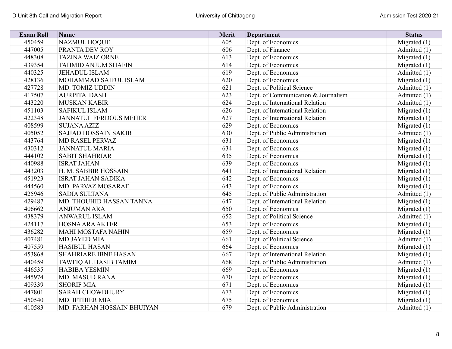| <b>Exam Roll</b> | Name                          | <b>Merit</b> | <b>Department</b>                   | <b>Status</b>  |
|------------------|-------------------------------|--------------|-------------------------------------|----------------|
| 450459           | <b>NAZMUL HOQUE</b>           | 605          | Dept. of Economics                  | Migrated $(1)$ |
| 447005           | PRANTA DEV ROY                | 606          | Dept. of Finance                    | Admitted (1)   |
| 448308           | <b>TAZINA WAIZ ORNE</b>       | 613          | Dept. of Economics                  | Migrated $(1)$ |
| 439354           | <b>TAHMID ANJUM SHAFIN</b>    | 614          | Dept. of Economics                  | Migrated $(1)$ |
| 440325           | <b>JEHADUL ISLAM</b>          | 619          | Dept. of Economics                  | Admitted (1)   |
| 428136           | MOHAMMAD SAIFUL ISLAM         | 620          | Dept. of Economics                  | Migrated $(1)$ |
| 427728           | <b>MD. TOMIZ UDDIN</b>        | 621          | Dept. of Political Science          | Admitted (1)   |
| 417507           | <b>AURPITA DASH</b>           | 623          | Dept. of Communication & Journalism | Admitted (1)   |
| 443220           | <b>MUSKAN KABIR</b>           | 624          | Dept. of International Relation     | Admitted (1)   |
| 451103           | <b>SAFIKUL ISLAM</b>          | 626          | Dept. of International Relation     | Migrated $(1)$ |
| 422348           | <b>JANNATUL FERDOUS MEHER</b> | 627          | Dept. of International Relation     | Migrated $(1)$ |
| 408599           | <b>SUJANA AZIZ</b>            | 629          | Dept. of Economics                  | Migrated $(1)$ |
| 405052           | <b>SAJJAD HOSSAIN SAKIB</b>   | 630          | Dept. of Public Administration      | Admitted (1)   |
| 443764           | <b>MD RASEL PERVAZ</b>        | 631          | Dept. of Economics                  | Migrated $(1)$ |
| 430312           | <b>JANNATUL MARIA</b>         | 634          | Dept. of Economics                  | Migrated $(1)$ |
| 444102           | <b>SABIT SHAHRIAR</b>         | 635          | Dept. of Economics                  | Migrated $(1)$ |
| 440988           | <b>ISRAT JAHAN</b>            | 639          | Dept. of Economics                  | Migrated $(1)$ |
| 443203           | H. M. SABBIR HOSSAIN          | 641          | Dept. of International Relation     | Migrated $(1)$ |
| 451923           | <b>ISRAT JAHAN SADIKA</b>     | 642          | Dept. of Economics                  | Migrated $(1)$ |
| 444560           | MD. PARVAZ MOSARAF            | 643          | Dept. of Economics                  | Migrated $(1)$ |
| 425946           | <b>SADIA SULTANA</b>          | 645          | Dept. of Public Administration      | Admitted (1)   |
| 429487           | MD. THOUHID HASSAN TANNA      | 647          | Dept. of International Relation     | Migrated $(1)$ |
| 406662           | <b>ANJUMAN ARA</b>            | 650          | Dept. of Economics                  | Migrated $(1)$ |
| 438379           | <b>ANWARUL ISLAM</b>          | 652          | Dept. of Political Science          | Admitted (1)   |
| 424117           | <b>HOSNA ARA AKTER</b>        | 653          | Dept. of Economics                  | Migrated $(1)$ |
| 436282           | <b>MAHI MOSTAFA NAHIN</b>     | 659          | Dept. of Economics                  | Migrated $(1)$ |
| 407481           | <b>MD JAYED MIA</b>           | 661          | Dept. of Political Science          | Admitted (1)   |
| 407559           | <b>HASIBUL HASAN</b>          | 664          | Dept. of Economics                  | Migrated $(1)$ |
| 453868           | <b>SHAHRIARE IBNE HASAN</b>   | 667          | Dept. of International Relation     | Migrated $(1)$ |
| 440459           | <b>TAWFIQ AL HASIB TAMIM</b>  | 668          | Dept. of Public Administration      | Admitted (1)   |
| 446535           | <b>HABIBA YESMIN</b>          | 669          | Dept. of Economics                  | Migrated $(1)$ |
| 445974           | <b>MD. MASUD RANA</b>         | 670          | Dept. of Economics                  | Migrated $(1)$ |
| 409339           | <b>SHORIF MIA</b>             | 671          | Dept. of Economics                  | Migrated $(1)$ |
| 447801           | <b>SARAH CHOWDHURY</b>        | 673          | Dept. of Economics                  | Migrated $(1)$ |
| 450540           | <b>MD. IFTHIER MIA</b>        | 675          | Dept. of Economics                  | Migrated $(1)$ |
| 410583           | MD. FARHAN HOSSAIN BHUIYAN    | 679          | Dept. of Public Administration      | Admitted (1)   |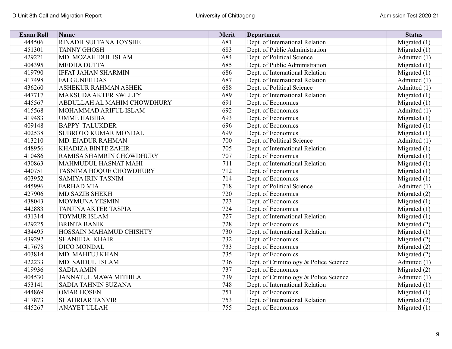| <b>Exam Roll</b> | Name                        | <b>Merit</b> | <b>Department</b>                     | <b>Status</b>  |
|------------------|-----------------------------|--------------|---------------------------------------|----------------|
| 444506           | RINADH SULTANA TOYSHE       | 681          | Dept. of International Relation       | Migrated $(1)$ |
| 451301           | <b>TANNY GHOSH</b>          | 683          | Dept. of Public Administration        | Migrated $(1)$ |
| 429221           | MD. MOZAHIDUL ISLAM         | 684          | Dept. of Political Science            | Admitted (1)   |
| 404395           | <b>MEDHA DUTTA</b>          | 685          | Dept. of Public Administration        | Migrated $(1)$ |
| 419790           | <b>IFFAT JAHAN SHARMIN</b>  | 686          | Dept. of International Relation       | Migrated $(1)$ |
| 417498           | <b>FALGUNEE DAS</b>         | 687          | Dept. of International Relation       | Admitted (1)   |
| 436260           | <b>ASHEKUR RAHMAN ASHEK</b> | 688          | Dept. of Political Science            | Admitted (1)   |
| 447717           | <b>MAKSUDA AKTER SWEETY</b> | 689          | Dept. of International Relation       | Migrated $(1)$ |
| 445567           | ABDULLAH AL MAHIM CHOWDHURY | 691          | Dept. of Economics                    | Migrated $(1)$ |
| 415568           | MOHAMMAD ARIFUL ISLAM       | 692          | Dept. of Economics                    | Admitted (1)   |
| 419483           | <b>UMME HABIBA</b>          | 693          | Dept. of Economics                    | Migrated (1)   |
| 409148           | <b>BAPPY TALUKDER</b>       | 696          | Dept. of Economics                    | Migrated $(1)$ |
| 402538           | <b>SUBROTO KUMAR MONDAL</b> | 699          | Dept. of Economics                    | Migrated $(1)$ |
| 413210           | <b>MD. EJADUR RAHMAN</b>    | 700          | Dept. of Political Science            | Admitted (1)   |
| 448956           | <b>KHADIZA BINTE ZAHIR</b>  | 705          | Dept. of International Relation       | Migrated $(1)$ |
| 410486           | RAMISA SHAMRIN CHOWDHURY    | 707          | Dept. of Economics                    | Migrated $(1)$ |
| 430863           | <b>MAHMUDUL HASNAT MAHI</b> | 711          | Dept. of International Relation       | Migrated $(1)$ |
| 440751           | TASNIMA HOQUE CHOWDHURY     | 712          | Dept. of Economics                    | Migrated $(1)$ |
| 403952           | <b>SAMIYA IRIN TASNIM</b>   | 714          | Dept. of Economics                    | Migrated $(1)$ |
| 445996           | <b>FARHAD MIA</b>           | 718          | Dept. of Political Science            | Admitted (1)   |
| 427906           | <b>MD.SAZIB SHEKH</b>       | 720          | Dept. of Economics                    | Migrated $(2)$ |
| 438043           | <b>MOYMUNA YESMIN</b>       | 723          | Dept. of Economics                    | Migrated $(1)$ |
| 442883           | <b>TANJINA AKTER TASPIA</b> | 724          | Dept. of Economics                    | Migrated $(1)$ |
| 431314           | <b>TOYMUR ISLAM</b>         | 727          | Dept. of International Relation       | Migrated $(1)$ |
| 429225           | <b>BRINTA BANIK</b>         | 728          | Dept. of Economics                    | Migrated (2)   |
| 434495           | HOSSAIN MAHAMUD CHISHTY     | 730          | Dept. of International Relation       | Migrated $(1)$ |
| 439292           | <b>SHANJIDA KHAIR</b>       | 732          | Dept. of Economics                    | Migrated (2)   |
| 417678           | <b>DICO MONDAL</b>          | 733          | Dept. of Economics                    | Migrated $(2)$ |
| 403814           | MD. MAHFUJ KHAN             | 735          | Dept. of Economics                    | Migrated $(2)$ |
| 422233           | MD. SAIDUL ISLAM            | 736          | Dept. of Criminology & Police Science | Admitted (1)   |
| 419936           | <b>SADIA AMIN</b>           | 737          | Dept. of Economics                    | Migrated (2)   |
| 404530           | JANNATUL MAWA MITHILA       | 739          | Dept. of Criminology & Police Science | Admitted (1)   |
| 453141           | <b>SADIA TAHNIN SUZANA</b>  | 748          | Dept. of International Relation       | Migrated $(1)$ |
| 444869           | <b>OMAR HOSEN</b>           | 751          | Dept. of Economics                    | Migrated $(1)$ |
| 417873           | <b>SHAHRIAR TANVIR</b>      | 753          | Dept. of International Relation       | Migrated $(2)$ |
| 445267           | <b>ANAYET ULLAH</b>         | 755          | Dept. of Economics                    | Migrated $(1)$ |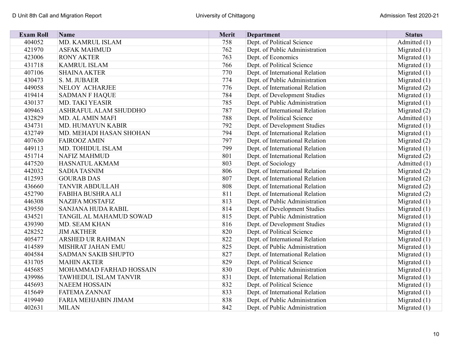| <b>Exam Roll</b> | Name                           | <b>Merit</b> | <b>Department</b>               | <b>Status</b>  |
|------------------|--------------------------------|--------------|---------------------------------|----------------|
| 404052           | MD. KAMRUL ISLAM               | 758          | Dept. of Political Science      | Admitted (1)   |
| 421970           | <b>ASFAK MAHMUD</b>            | 762          | Dept. of Public Administration  | Migrated $(1)$ |
| 423006           | <b>RONY AKTER</b>              | 763          | Dept. of Economics              | Migrated $(1)$ |
| 431718           | <b>KAMRUL ISLAM</b>            | 766          | Dept. of Political Science      | Migrated (1)   |
| 407106           | <b>SHAINA AKTER</b>            | 770          | Dept. of International Relation | Migrated $(1)$ |
| 430473           | S. M. JUBAER                   | 774          | Dept. of Public Administration  | Migrated $(1)$ |
| 449058           | NELOY ACHARJEE                 | 776          | Dept. of International Relation | Migrated (2)   |
| 419414           | <b>SADMAN F HAQUE</b>          | 784          | Dept. of Development Studies    | Migrated $(1)$ |
| 430137           | <b>MD. TAKI YEASIR</b>         | 785          | Dept. of Public Administration  | Migrated $(1)$ |
| 409463           | <b>ASHRAFUL ALAM SHUDDHO</b>   | 787          | Dept. of International Relation | Migrated $(2)$ |
| 432829           | <b>MD. AL AMIN MAFI</b>        | 788          | Dept. of Political Science      | Admitted (1)   |
| 434731           | <b>MD. HUMAYUN KABIR</b>       | 792          | Dept. of Development Studies    | Migrated $(1)$ |
| 432749           | MD. MEHADI HASAN SHOHAN        | 794          | Dept. of International Relation | Migrated $(1)$ |
| 407630           | <b>FAIROOZ AMIN</b>            | 797          | Dept. of International Relation | Migrated $(2)$ |
| 449113           | MD. TOHIDUL ISLAM              | 799          | Dept. of International Relation | Migrated $(1)$ |
| 451714           | <b>NAFIZ MAHMUD</b>            | 801          | Dept. of International Relation | Migrated $(2)$ |
| 447520           | HASNATUL AKMAM                 | 803          | Dept. of Sociology              | Admitted (1)   |
| 442032           | <b>SADIA TASNIM</b>            | 806          | Dept. of International Relation | Migrated $(2)$ |
| 412593           | <b>GOURAB DAS</b>              | 807          | Dept. of International Relation | Migrated $(2)$ |
| 436660           | <b>TANVIR ABDULLAH</b>         | 808          | Dept. of International Relation | Migrated $(2)$ |
| 452790           | <b>FABIHA BUSHRA ALI</b>       | 811          | Dept. of International Relation | Migrated $(2)$ |
| 446308           | <b>NAZIFA MOSTAFIZ</b>         | 813          | Dept. of Public Administration  | Migrated $(1)$ |
| 439550           | <b>SANJANA HUDA RABIL</b>      | 814          | Dept. of Development Studies    | Migrated $(1)$ |
| 434521           | <b>TANGIL AL MAHAMUD SOWAD</b> | 815          | Dept. of Public Administration  | Migrated $(1)$ |
| 439390           | <b>MD. SEAM KHAN</b>           | 816          | Dept. of Development Studies    | Migrated $(1)$ |
| 428252           | <b>JIM AKTHER</b>              | 820          | Dept. of Political Science      | Migrated $(1)$ |
| 405477           | <b>ARSHED UR RAHMAN</b>        | 822          | Dept. of International Relation | Migrated $(1)$ |
| 414589           | MISHRAT JAHAN EMU              | 825          | Dept. of Public Administration  | Migrated $(1)$ |
| 404584           | <b>SADMAN SAKIB SHUPTO</b>     | 827          | Dept. of International Relation | Migrated $(1)$ |
| 431705           | <b>MAHIN AKTER</b>             | 829          | Dept. of Political Science      | Migrated $(1)$ |
| 445685           | MOHAMMAD FARHAD HOSSAIN        | 830          | Dept. of Public Administration  | Migrated $(1)$ |
| 439986           | <b>TAWHEDUL ISLAM TANVIR</b>   | 831          | Dept. of International Relation | Migrated $(1)$ |
| 445693           | <b>NAEEM HOSSAIN</b>           | 832          | Dept. of Political Science      | Migrated $(1)$ |
| 415649           | <b>FATEMA ZANNAT</b>           | 833          | Dept. of International Relation | Migrated $(1)$ |
| 419940           | <b>FARIA MEHJABIN JIMAM</b>    | 838          | Dept. of Public Administration  | Migrated $(1)$ |
| 402631           | <b>MILAN</b>                   | 842          | Dept. of Public Administration  | Migrated $(1)$ |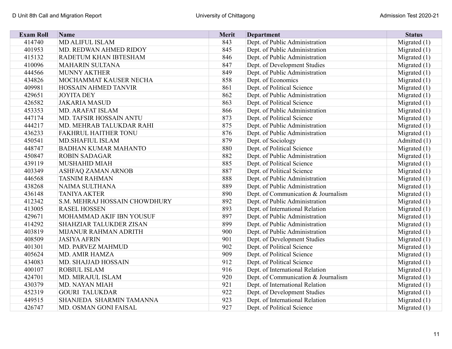| <b>Exam Roll</b> | Name                           | <b>Merit</b> | <b>Department</b>                   | <b>Status</b>  |
|------------------|--------------------------------|--------------|-------------------------------------|----------------|
| 414740           | <b>MD ALIFUL ISLAM</b>         | 843          | Dept. of Public Administration      | Migrated $(1)$ |
| 401953           | MD. REDWAN AHMED RIDOY         | 845          | Dept. of Public Administration      | Migrated $(1)$ |
| 415132           | RADETUM KHAN IBTESHAM          | 846          | Dept. of Public Administration      | Migrated $(1)$ |
| 410096           | <b>MAHARIN SULTANA</b>         | 847          | Dept. of Development Studies        | Migrated $(1)$ |
| 444566           | <b>MUNNY AKTHER</b>            | 849          | Dept. of Public Administration      | Migrated $(1)$ |
| 434826           | MOCHAMMAT KAUSER NECHA         | 858          | Dept. of Economics                  | Migrated $(1)$ |
| 409981           | <b>HOSSAIN AHMED TANVIR</b>    | 861          | Dept. of Political Science          | Migrated $(1)$ |
| 429651           | <b>JOYITA DEY</b>              | 862          | Dept. of Public Administration      | Migrated $(1)$ |
| 426582           | <b>JAKARIA MASUD</b>           | 863          | Dept. of Political Science          | Migrated $(1)$ |
| 453353           | <b>MD. ARAFAT ISLAM</b>        | 866          | Dept. of Public Administration      | Migrated $(1)$ |
| 447174           | MD. TAFSIR HOSSAIN ANTU        | 873          | Dept. of Political Science          | Migrated $(1)$ |
| 444217           | MD. MEHRAB TALUKDAR RAHI       | 875          | Dept. of Public Administration      | Migrated $(1)$ |
| 436233           | <b>FAKHRUL HAITHER TONU</b>    | 876          | Dept. of Public Administration      | Migrated $(1)$ |
| 450541           | MD.SHAFIUL ISLAM               | 879          | Dept. of Sociology                  | Admitted (1)   |
| 448747           | <b>BADHAN KUMAR MAHANTO</b>    | 880          | Dept. of Political Science          | Migrated $(1)$ |
| 450847           | <b>ROBIN SADAGAR</b>           | 882          | Dept. of Public Administration      | Migrated $(1)$ |
| 439119           | <b>MUSHAHID MIAH</b>           | 885          | Dept. of Political Science          | Migrated $(1)$ |
| 403349           | <b>ASHFAQ ZAMAN ARNOB</b>      | 887          | Dept. of Political Science          | Migrated $(1)$ |
| 446568           | <b>TASNIM RAHMAN</b>           | 888          | Dept. of Public Administration      | Migrated $(1)$ |
| 438268           | NAIMA SULTHANA                 | 889          | Dept. of Public Administration      | Migrated $(1)$ |
| 436148           | <b>TANIYA AKTER</b>            | 890          | Dept. of Communication & Journalism | Migrated $(1)$ |
| 412342           | S.M. MEHRAJ HOSSAIN CHOWDHURY  | 892          | Dept. of Public Administration      | Migrated $(1)$ |
| 413005           | <b>RASEL HOSSEN</b>            | 893          | Dept. of International Relation     | Migrated $(1)$ |
| 429671           | MOHAMMAD AKIF IBN YOUSUF       | 897          | Dept. of Public Administration      | Migrated $(1)$ |
| 414292           | <b>SHAHZIAR TALUKDER ZISAN</b> | 899          | Dept. of Public Administration      | Migrated $(1)$ |
| 403819           | MIJANUR RAHMAN ADRITH          | 900          | Dept. of Public Administration      | Migrated $(1)$ |
| 408509           | <b>JASIYA AFRIN</b>            | 901          | Dept. of Development Studies        | Migrated $(1)$ |
| 401301           | MD. PARVEZ MAHMUD              | 902          | Dept. of Political Science          | Migrated $(1)$ |
| 405624           | MD. AMIR HAMZA                 | 909          | Dept. of Political Science          | Migrated $(1)$ |
| 434083           | <b>MD. SHAJJAD HOSSAIN</b>     | 912          | Dept. of Political Science          | Migrated $(1)$ |
| 400107           | <b>ROBIUL ISLAM</b>            | 916          | Dept. of International Relation     | Migrated $(1)$ |
| 424701           | MD. MIRAJUL ISLAM              | 920          | Dept. of Communication & Journalism | Migrated $(1)$ |
| 430379           | <b>MD. NAYAN MIAH</b>          | 921          | Dept. of International Relation     | Migrated $(1)$ |
| 452319           | <b>GOURI TALUKDAR</b>          | 922          | Dept. of Development Studies        | Migrated $(1)$ |
| 449515           | SHANJEDA SHARMIN TAMANNA       | 923          | Dept. of International Relation     | Migrated $(1)$ |
| 426747           | MD. OSMAN GONI FAISAL          | 927          | Dept. of Political Science          | Migrated $(1)$ |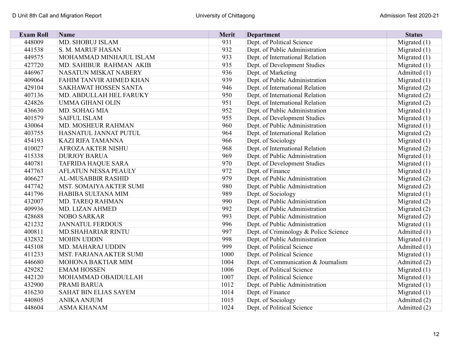| <b>Exam Roll</b> | Name                           | Merit | <b>Department</b>                     | <b>Status</b>  |
|------------------|--------------------------------|-------|---------------------------------------|----------------|
| 448009           | MD. SHOBUJ ISLAM               | 931   | Dept. of Political Science            | Migrated $(1)$ |
| 441538           | S. M. MARUF HASAN              | 932   | Dept. of Public Administration        | Migrated $(1)$ |
| 449575           | MOHAMMAD MINHAJUL ISLAM        | 933   | Dept. of International Relation       | Migrated $(1)$ |
| 427720           | MD. SAHIBUR RAHMAN AKIB        | 935   | Dept. of Development Studies          | Migrated $(1)$ |
| 446967           | NASATUN MISKAT NABERY          | 936   | Dept. of Marketing                    | Admitted (1)   |
| 409064           | FAHIM TANVIR AHMED KHAN        | 939   | Dept. of Public Administration        | Migrated $(1)$ |
| 429104           | <b>SAKHAWAT HOSSEN SANTA</b>   | 946   | Dept. of International Relation       | Migrated (2)   |
| 407136           | MD. ABDULLAH HEL FARUKY        | 950   | Dept. of International Relation       | Migrated (2)   |
| 424826           | UMMA GIHANI OLIN               | 951   | Dept. of International Relation       | Migrated (2)   |
| 436630           | MD. SOHAG MIA                  | 952   | Dept. of Public Administration        | Migrated (1)   |
| 401579           | <b>SAIFUL ISLAM</b>            | 955   | Dept. of Development Studies          | Migrated $(1)$ |
| 430064           | MD. MOSHEUR RAHMAN             | 960   | Dept. of Public Administration        | Migrated $(1)$ |
| 403755           | HASNATUL JANNAT PUTUL          | 964   | Dept. of International Relation       | Migrated $(2)$ |
| 454193           | <b>KAZI RIFA TAMANNA</b>       | 966   | Dept. of Sociology                    | Migrated $(1)$ |
| 410027           | <b>AFROZA AKTER NISHU</b>      | 968   | Dept. of International Relation       | Migrated $(2)$ |
| 415338           | <b>DURJOY BARUA</b>            | 969   | Dept. of Public Administration        | Migrated $(1)$ |
| 440781           | <b>TAFRIDA HAQUE SARA</b>      | 970   | Dept. of Development Studies          | Migrated $(1)$ |
| 447763           | <b>AFLATUN NESSA PEAULY</b>    | 972   | Dept. of Finance                      | Migrated $(1)$ |
| 406627           | <b>AL-MUSABBIR RASHID</b>      | 979   | Dept. of Public Administration        | Migrated (2)   |
| 447742           | MST. SOMAIYA AKTER SUMI        | 980   | Dept. of Public Administration        | Migrated (2)   |
| 441796           | HABIBA SULTANA MIM             | 989   | Dept. of Sociology                    | Migrated $(1)$ |
| 432007           | <b>MD. TAREQ RAHMAN</b>        | 990   | Dept. of Public Administration        | Migrated (2)   |
| 409936           | <b>MD. LIZAN AHMED</b>         | 992   | Dept. of Public Administration        | Migrated (2)   |
| 428688           | <b>NOBO SARKAR</b>             | 993   | Dept. of Public Administration        | Migrated (2)   |
| 421232           | <b>JANNATUL FERDOUS</b>        | 996   | Dept. of Public Administration        | Migrated $(1)$ |
| 400811           | <b>MD.SHAHARIAR RINTU</b>      | 997   | Dept. of Criminology & Police Science | Admitted (1)   |
| 432832           | <b>MOHIN UDDIN</b>             | 998   | Dept. of Public Administration        | Migrated $(1)$ |
| 445108           | MD. MAHARAJ UDDIN              | 999   | Dept. of Political Science            | Admitted (1)   |
| 411233           | <b>MST. FARJANA AKTER SUMI</b> | 1000  | Dept. of Political Science            | Migrated $(1)$ |
| 446680           | <b>MOHONA BAKTIAR MIM</b>      | 1004  | Dept. of Communication & Journalism   | Admitted (2)   |
| 429282           | <b>EMAM HOSSEN</b>             | 1006  | Dept. of Political Science            | Migrated $(1)$ |
| 442120           | MOHAMMAD OBAIDULLAH            | 1007  | Dept. of Political Science            | Migrated $(1)$ |
| 432900           | <b>PRAMI BARUA</b>             | 1012  | Dept. of Public Administration        | Migrated $(1)$ |
| 416230           | <b>SAHAT BIN ELIAS SAYEM</b>   | 1014  | Dept. of Finance                      | Migrated $(1)$ |
| 440805           | <b>ANIKA ANJUM</b>             | 1015  | Dept. of Sociology                    | Admitted (2)   |
| 448604           | <b>ASMA KHANAM</b>             | 1024  | Dept. of Political Science            | Admitted (2)   |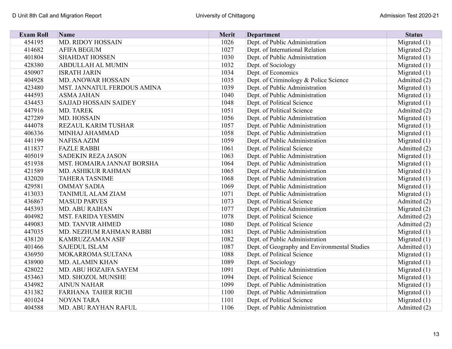| <b>Exam Roll</b> | Name                              | <b>Merit</b> | <b>Department</b>                            | <b>Status</b>  |
|------------------|-----------------------------------|--------------|----------------------------------------------|----------------|
| 454195           | <b>MD. RIDOY HOSSAIN</b>          | 1026         | Dept. of Public Administration               | Migrated $(1)$ |
| 414682           | <b>AFIFA BEGUM</b>                | 1027         | Dept. of International Relation              | Migrated (2)   |
| 401804           | <b>SHAHDAT HOSSEN</b>             | 1030         | Dept. of Public Administration               | Migrated $(1)$ |
| 428380           | <b>ABDULLAH AL MUMIN</b>          | 1032         | Dept. of Sociology                           | Migrated $(1)$ |
| 450907           | <b>ISRATH JARIN</b>               | 1034         | Dept. of Economics                           | Migrated $(1)$ |
| 404928           | <b>MD. ANOWAR HOSSAIN</b>         | 1035         | Dept. of Criminology & Police Science        | Admitted (2)   |
| 423480           | MST. JANNATUL FERDOUS AMINA       | 1039         | Dept. of Public Administration               | Migrated $(1)$ |
| 444593           | <b>ASMA JAHAN</b>                 | 1040         | Dept. of Public Administration               | Migrated $(1)$ |
| 434453           | <b>SAJJAD HOSSAIN SAIDEY</b>      | 1048         | Dept. of Political Science                   | Migrated $(1)$ |
| 447916           | <b>MD. TAREK</b>                  | 1051         | Dept. of Political Science                   | Admitted (2)   |
| 427289           | <b>MD. HOSSAIN</b>                | 1056         | Dept. of Public Administration               | Migrated $(1)$ |
| 444078           | <b>REZAUL KARIM TUSHAR</b>        | 1057         | Dept. of Public Administration               | Migrated $(1)$ |
| 406336           | MINHAJ AHAMMAD                    | 1058         | Dept. of Public Administration               | Migrated (1)   |
| 441199           | <b>NAFISA AZIM</b>                | 1059         | Dept. of Public Administration               | Migrated $(1)$ |
| 411837           | <b>FAZLE RABBI</b>                | 1061         | Dept. of Political Science                   | Admitted (2)   |
| 405019           | <b>SADEKIN REZA JASON</b>         | 1063         | Dept. of Public Administration               | Migrated $(1)$ |
| 451938           | <b>MST. HOMAIRA JANNAT BORSHA</b> | 1064         | Dept. of Public Administration               | Migrated $(1)$ |
| 421589           | <b>MD. ASHIKUR RAHMAN</b>         | 1065         | Dept. of Public Administration               | Migrated $(1)$ |
| 432020           | <b>TAHERA TASNIME</b>             | 1068         | Dept. of Public Administration               | Migrated $(1)$ |
| 429581           | <b>OMMAY SADIA</b>                | 1069         | Dept. of Public Administration               | Migrated $(1)$ |
| 413033           | <b>TANIMUL ALAM ZIAM</b>          | 1071         | Dept. of Public Administration               | Migrated $(1)$ |
| 436867           | <b>MASUD PARVES</b>               | 1073         | Dept. of Political Science                   | Admitted (2)   |
| 445393           | <b>MD. ABU RAIHAN</b>             | 1077         | Dept. of Public Administration               | Migrated (2)   |
| 404982           | <b>MST. FARIDA YESMIN</b>         | 1078         | Dept. of Political Science                   | Admitted (2)   |
| 449083           | <b>MD. TANVIR AHMED</b>           | 1080         | Dept. of Political Science                   | Admitted (2)   |
| 447035           | MD. NEZHUM RAHMAN RABBI           | 1081         | Dept. of Public Administration               | Migrated $(1)$ |
| 438120           | <b>KAMRUZZAMAN ASIF</b>           | 1082         | Dept. of Public Administration               | Migrated $(1)$ |
| 401466           | <b>SAJEDUL ISLAM</b>              | 1087         | Dept. of Geography and Environmental Studies | Admitted (1)   |
| 436950           | MOKARROMA SULTANA                 | 1088         | Dept. of Political Science                   | Migrated $(1)$ |
| 438900           | <b>MD. ALAMIN KHAN</b>            | 1089         | Dept. of Sociology                           | Migrated $(1)$ |
| 428022           | MD. ABU HOZAIFA SAYEM             | 1091         | Dept. of Public Administration               | Migrated $(1)$ |
| 453463           | MD. SHOZOL MUNSHE                 | 1094         | Dept. of Political Science                   | Migrated (1)   |
| 434982           | <b>AINUN NAHAR</b>                | 1099         | Dept. of Public Administration               | Migrated (1)   |
| 431382           | <b>FARHANA TAHER RICHI</b>        | 1100         | Dept. of Public Administration               | Migrated (1)   |
| 401024           | <b>NOYAN TARA</b>                 | 1101         | Dept. of Political Science                   | Migrated $(1)$ |
| 404588           | MD. ABU RAYHAN RAFUL              | 1106         | Dept. of Public Administration               | Admitted (2)   |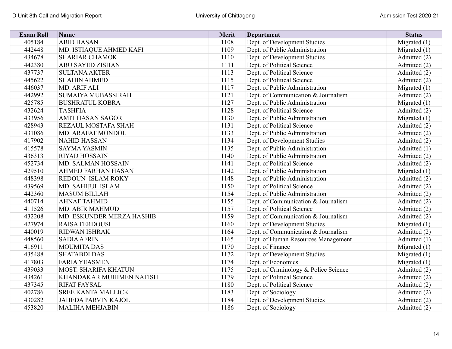| <b>Exam Roll</b> | <b>Name</b>                 | Merit | <b>Department</b>                     | <b>Status</b>  |
|------------------|-----------------------------|-------|---------------------------------------|----------------|
| 405184           | <b>ABID HASAN</b>           | 1108  | Dept. of Development Studies          | Migrated $(1)$ |
| 442448           | MD. ISTIAQUE AHMED KAFI     | 1109  | Dept. of Public Administration        | Migrated $(1)$ |
| 434678           | <b>SHARIAR CHAMOK</b>       | 1110  | Dept. of Development Studies          | Admitted (2)   |
| 442380           | <b>ABU SAYED ZISHAN</b>     | 1111  | Dept. of Political Science            | Admitted (2)   |
| 437737           | <b>SULTANA AKTER</b>        | 1113  | Dept. of Political Science            | Admitted (2)   |
| 445622           | <b>SHAHIN AHMED</b>         | 1115  | Dept. of Political Science            | Admitted (2)   |
| 446037           | MD. ARIF ALI                | 1117  | Dept. of Public Administration        | Migrated $(1)$ |
| 442992           | <b>SUMAIYA MUBASSIRAH</b>   | 1121  | Dept. of Communication & Journalism   | Admitted (2)   |
| 425785           | <b>BUSHRATUL KOBRA</b>      | 1127  | Dept. of Public Administration        | Migrated $(1)$ |
| 432624           | <b>TASHFIA</b>              | 1128  | Dept. of Political Science            | Admitted (2)   |
| 433956           | <b>AMIT HASAN SAGOR</b>     | 1130  | Dept. of Public Administration        | Migrated $(1)$ |
| 428943           | REZAUL MOSTAFA SHAH         | 1131  | Dept. of Political Science            | Admitted (2)   |
| 431086           | <b>MD. ARAFAT MONDOL</b>    | 1133  | Dept. of Public Administration        | Admitted (2)   |
| 417902           | <b>NAHID HASSAN</b>         | 1134  | Dept. of Development Studies          | Admitted (2)   |
| 415578           | <b>SAYMA YASMIN</b>         | 1135  | Dept. of Public Administration        | Admitted (1)   |
| 436313           | <b>RIYAD HOSSAIN</b>        | 1140  | Dept. of Public Administration        | Admitted (2)   |
| 452734           | MD. SALMAN HOSSAIN          | 1141  | Dept. of Political Science            | Admitted (2)   |
| 429510           | <b>AHMED FARHAN HASAN</b>   | 1142  | Dept. of Public Administration        | Migrated $(1)$ |
| 448398           | <b>REDOUN ISLAM ROKY</b>    | 1148  | Dept. of Public Administration        | Admitted (2)   |
| 439569           | MD. SAHIJUL ISLAM           | 1150  | Dept. of Political Science            | Admitted (2)   |
| 442360           | <b>MASUM BILLAH</b>         | 1154  | Dept. of Public Administration        | Admitted (2)   |
| 440714           | <b>AHNAF TAHMID</b>         | 1155  | Dept. of Communication & Journalism   | Admitted (2)   |
| 411526           | <b>MD. ABIR MAHMUD</b>      | 1157  | Dept. of Political Science            | Admitted (2)   |
| 432208           | MD. ESKUNDER MERZA HASHIB   | 1159  | Dept. of Communication & Journalism   | Admitted (2)   |
| 427974           | <b>RAISA FERDOUSI</b>       | 1160  | Dept. of Development Studies          | Migrated $(1)$ |
| 440019           | <b>RIDWAN ISHRAK</b>        | 1164  | Dept. of Communication & Journalism   | Admitted (2)   |
| 448560           | <b>SADIA AFRIN</b>          | 1165  | Dept. of Human Resources Management   | Admitted (1)   |
| 416911           | <b>MOUMITA DAS</b>          | 1170  | Dept. of Finance                      | Migrated $(1)$ |
| 435488           | <b>SHATABDI DAS</b>         | 1172  | Dept. of Development Studies          | Migrated $(1)$ |
| 417803           | <b>FARIA YEASMEN</b>        | 1174  | Dept. of Economics                    | Migrated $(1)$ |
| 439033           | <b>MOST. SHARIFA KHATUN</b> | 1175  | Dept. of Criminology & Police Science | Admitted (2)   |
| 434261           | KHANDAKAR MUHIMEN NAFISH    | 1179  | Dept. of Political Science            | Admitted (2)   |
| 437345           | <b>RIFAT FAYSAL</b>         | 1180  | Dept. of Political Science            | Admitted (2)   |
| 402786           | <b>SREE KANTA MALLICK</b>   | 1183  | Dept. of Sociology                    | Admitted (2)   |
| 430282           | <b>JAHEDA PARVIN KAJOL</b>  | 1184  | Dept. of Development Studies          | Admitted (2)   |
| 453820           | <b>MALIHA MEHJABIN</b>      | 1186  | Dept. of Sociology                    | Admitted (2)   |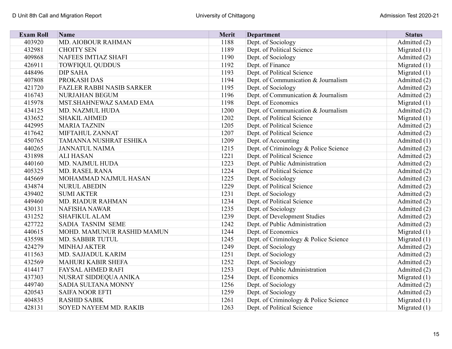| <b>Exam Roll</b> | Name                             | <b>Merit</b> | <b>Department</b>                     | <b>Status</b>  |
|------------------|----------------------------------|--------------|---------------------------------------|----------------|
| 403920           | MD. AIOBOUR RAHMAN               | 1188         | Dept. of Sociology                    | Admitted (2)   |
| 432981           | <b>CHOITY SEN</b>                | 1189         | Dept. of Political Science            | Migrated (1)   |
| 409868           | <b>NAFEES IMTIAZ SHAFI</b>       | 1190         | Dept. of Sociology                    | Admitted (2)   |
| 426911           | <b>TOWFIQUL QUDDUS</b>           | 1192         | Dept. of Finance                      | Migrated $(1)$ |
| 448496           | <b>DIP SAHA</b>                  | 1193         | Dept. of Political Science            | Migrated (1)   |
| 407808           | PROKASH DAS                      | 1194         | Dept. of Communication & Journalism   | Admitted (2)   |
| 421720           | <b>FAZLER RABBI NASIB SARKER</b> | 1195         | Dept. of Sociology                    | Admitted (2)   |
| 416743           | NURJAHAN BEGUM                   | 1196         | Dept. of Communication & Journalism   | Admitted (2)   |
| 415978           | MST.SHAHNEWAZ SAMAD EMA          | 1198         | Dept. of Economics                    | Migrated $(1)$ |
| 434125           | <b>MD. NAZMUL HUDA</b>           | 1200         | Dept. of Communication & Journalism   | Admitted (2)   |
| 433652           | <b>SHAKIL AHMED</b>              | 1202         | Dept. of Political Science            | Migrated $(1)$ |
| 442995           | <b>MARIA TAZNIN</b>              | 1205         | Dept. of Political Science            | Admitted (2)   |
| 417642           | MIFTAHUL ZANNAT                  | 1207         | Dept. of Political Science            | Admitted (2)   |
| 450765           | TAMANNA NUSHRAT ESHIKA           | 1209         | Dept. of Accounting                   | Admitted (1)   |
| 440265           | <b>JANNATUL NAIMA</b>            | 1215         | Dept. of Criminology & Police Science | Admitted (2)   |
| 431898           | <b>ALI HASAN</b>                 | 1221         | Dept. of Political Science            | Admitted (2)   |
| 440160           | <b>MD. NAJMUL HUDA</b>           | 1223         | Dept. of Public Administration        | Admitted (2)   |
| 405325           | <b>MD. RASEL RANA</b>            | 1224         | Dept. of Political Science            | Admitted (2)   |
| 445669           | MOHAMMAD NAJMUL HASAN            | 1225         | Dept. of Sociology                    | Admitted (2)   |
| 434874           | <b>NURUL ABEDIN</b>              | 1229         | Dept. of Political Science            | Admitted (2)   |
| 439402           | <b>SUMI AKTER</b>                | 1231         | Dept. of Sociology                    | Admitted (2)   |
| 449460           | <b>MD. RIADUR RAHMAN</b>         | 1234         | Dept. of Political Science            | Admitted (2)   |
| 430131           | NAFISHA NAWAR                    | 1235         | Dept. of Sociology                    | Admitted (2)   |
| 431252           | <b>SHAFIKUL ALAM</b>             | 1239         | Dept. of Development Studies          | Admitted (2)   |
| 427722           | <b>SADIA TASNIM SEME</b>         | 1242         | Dept. of Public Administration        | Admitted (2)   |
| 440615           | MOHD. MAMUNUR RASHID MAMUN       | 1244         | Dept. of Economics                    | Migrated $(1)$ |
| 435598           | <b>MD. SABBIR TUTUL</b>          | 1245         | Dept. of Criminology & Police Science | Migrated $(1)$ |
| 424279           | <b>MINHAJ AKTER</b>              | 1249         | Dept. of Sociology                    | Admitted (2)   |
| 411563           | MD. SAJJADUL KARIM               | 1251         | Dept. of Sociology                    | Admitted (2)   |
| 432569           | <b>MAHURI KABIR SHEFA</b>        | 1252         | Dept. of Sociology                    | Admitted (2)   |
| 414417           | <b>FAYSAL AHMED RAFI</b>         | 1253         | Dept. of Public Administration        | Admitted (2)   |
| 437303           | NUSRAT SIDDEQUA ANIKA            | 1254         | Dept. of Economics                    | Migrated $(1)$ |
| 449740           | <b>SADIA SULTANA MONNY</b>       | 1256         | Dept. of Sociology                    | Admitted (2)   |
| 420543           | <b>SAIFA NOOR EFTI</b>           | 1259         | Dept. of Sociology                    | Admitted (2)   |
| 404835           | <b>RASHID SABIK</b>              | 1261         | Dept. of Criminology & Police Science | Migrated $(1)$ |
| 428131           | <b>SOYED NAYEEM MD. RAKIB</b>    | 1263         | Dept. of Political Science            | Migrated $(1)$ |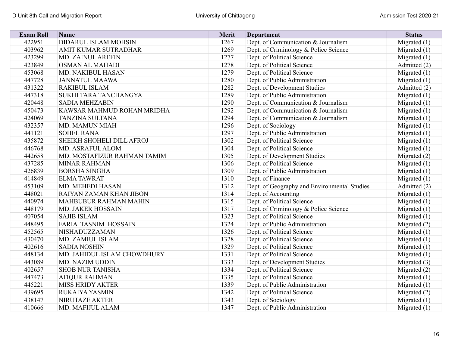| <b>Exam Roll</b> | Name                        | <b>Merit</b> | <b>Department</b>                            | <b>Status</b>  |
|------------------|-----------------------------|--------------|----------------------------------------------|----------------|
| 422951           | DIDARUL ISLAM MOHSIN        | 1267         | Dept. of Communication & Journalism          | Migrated $(1)$ |
| 403962           | AMIT KUMAR SUTRADHAR        | 1269         | Dept. of Criminology & Police Science        | Migrated $(1)$ |
| 423299           | <b>MD. ZAINUL AREFIN</b>    | 1277         | Dept. of Political Science                   | Migrated $(1)$ |
| 423849           | <b>OSMAN AL MAHADI</b>      | 1278         | Dept. of Political Science                   | Admitted (2)   |
| 453068           | <b>MD. NAKIBUL HASAN</b>    | 1279         | Dept. of Political Science                   | Migrated (1)   |
| 447728           | <b>JANNATUL MAAWA</b>       | 1280         | Dept. of Public Administration               | Migrated $(1)$ |
| 431322           | <b>RAKIBUL ISLAM</b>        | 1282         | Dept. of Development Studies                 | Admitted (2)   |
| 447318           | SUKHI TARA TANCHANGYA       | 1289         | Dept. of Public Administration               | Migrated $(1)$ |
| 420448           | <b>SADIA MEHZABIN</b>       | 1290         | Dept. of Communication & Journalism          | Migrated $(1)$ |
| 450473           | KAWSAR MAHMUD ROHAN MRIDHA  | 1292         | Dept. of Communication & Journalism          | Migrated $(1)$ |
| 424069           | <b>TANZINA SULTANA</b>      | 1294         | Dept. of Communication & Journalism          | Migrated $(1)$ |
| 432357           | <b>MD. MAMUN MIAH</b>       | 1296         | Dept. of Sociology                           | Migrated $(1)$ |
| 441121           | <b>SOHEL RANA</b>           | 1297         | Dept. of Public Administration               | Migrated $(1)$ |
| 435872           | SHEIKH SHOHELI DILL AFROJ   | 1302         | Dept. of Political Science                   | Migrated $(1)$ |
| 446768           | <b>MD. ASRAFUL ALOM</b>     | 1304         | Dept. of Political Science                   | Migrated $(1)$ |
| 442658           | MD. MOSTAFIZUR RAHMAN TAMIM | 1305         | Dept. of Development Studies                 | Migrated $(2)$ |
| 437285           | <b>MINAR RAHMAN</b>         | 1306         | Dept. of Political Science                   | Migrated $(1)$ |
| 426839           | <b>BORSHA SINGHA</b>        | 1309         | Dept. of Public Administration               | Migrated $(1)$ |
| 414849           | <b>ELMATAWRAT</b>           | 1310         | Dept. of Finance                             | Migrated $(1)$ |
| 453109           | MD. MEHEDI HASAN            | 1312         | Dept. of Geography and Environmental Studies | Admitted (2)   |
| 448021           | RAIYAN ZAMAN KHAN JIBON     | 1314         | Dept. of Accounting                          | Migrated (1)   |
| 440974           | MAHBUBUR RAHMAN MAHIN       | 1315         | Dept. of Political Science                   | Migrated $(1)$ |
| 448179           | <b>MD. JAKER HOSSAIN</b>    | 1317         | Dept. of Criminology & Police Science        | Migrated $(1)$ |
| 407054           | <b>SAJIB ISLAM</b>          | 1323         | Dept. of Political Science                   | Migrated $(1)$ |
| 448495           | <b>FARIA TASNIM HOSSAIN</b> | 1324         | Dept. of Public Administration               | Migrated (2)   |
| 452565           | NISHADUZZAMAN               | 1326         | Dept. of Political Science                   | Migrated $(1)$ |
| 430470           | MD. ZAMIUL ISLAM            | 1328         | Dept. of Political Science                   | Migrated $(1)$ |
| 402616           | <b>SADIA NOSHIN</b>         | 1329         | Dept. of Political Science                   | Migrated (1)   |
| 448134           | MD. JAHIDUL ISLAM CHOWDHURY | 1331         | Dept. of Political Science                   | Migrated $(1)$ |
| 443089           | <b>MD. NAZIM UDDIN</b>      | 1333         | Dept. of Development Studies                 | Migrated (3)   |
| 402657           | <b>SHOB NUR TANISHA</b>     | 1334         | Dept. of Political Science                   | Migrated $(2)$ |
| 447473           | <b>ATIQUR RAHMAN</b>        | 1335         | Dept. of Political Science                   | Migrated $(1)$ |
| 445221           | <b>MISS HRIDY AKTER</b>     | 1339         | Dept. of Public Administration               | Migrated $(1)$ |
| 439695           | <b>RUKAIYA YASMIN</b>       | 1342         | Dept. of Political Science                   | Migrated (2)   |
| 438147           | NIRUTAZE AKTER              | 1343         | Dept. of Sociology                           | Migrated $(1)$ |
| 410666           | MD. MAFIJUL ALAM            | 1347         | Dept. of Public Administration               | Migrated $(1)$ |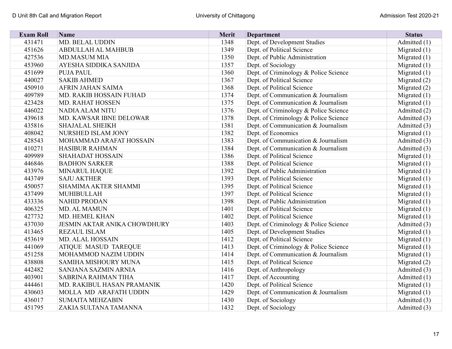| <b>Exam Roll</b> | Name                                | Merit | <b>Department</b>                     | <b>Status</b>  |
|------------------|-------------------------------------|-------|---------------------------------------|----------------|
| 431471           | MD. BELAL UDDIN                     | 1348  | Dept. of Development Studies          | Admitted (1)   |
| 451626           | ABDULLAH AL MAHBUB                  | 1349  | Dept. of Political Science            | Migrated $(1)$ |
| 427536           | <b>MD.MASUM MIA</b>                 | 1350  | Dept. of Public Administration        | Migrated $(1)$ |
| 453960           | AYESHA SIDDIKA SANJIDA              | 1357  | Dept. of Sociology                    | Migrated $(1)$ |
| 451699           | <b>PUJA PAUL</b>                    | 1360  | Dept. of Criminology & Police Science | Migrated $(1)$ |
| 440027           | <b>SAKIB AHMED</b>                  | 1367  | Dept. of Political Science            | Migrated (2)   |
| 450910           | AFRIN JAHAN SAIMA                   | 1368  | Dept. of Political Science            | Migrated (2)   |
| 409789           | MD. RAKIB HOSSAIN FUHAD             | 1374  | Dept. of Communication & Journalism   | Migrated $(1)$ |
| 423428           | <b>MD. RAHAT HOSSEN</b>             | 1375  | Dept. of Communication & Journalism   | Migrated $(1)$ |
| 446022           | <b>NADIA ALAM NITU</b>              | 1376  | Dept. of Criminology & Police Science | Admitted (2)   |
| 439618           | MD. KAWSAR IBNE DELOWAR             | 1378  | Dept. of Criminology & Police Science | Admitted (3)   |
| 435816           | <b>SHAJALAL SHEIKH</b>              | 1381  | Dept. of Communication & Journalism   | Admitted (3)   |
| 408042           | NURSHED ISLAM JONY                  | 1382  | Dept. of Economics                    | Migrated $(1)$ |
| 428543           | MOHAMMAD ARAFAT HOSSAIN             | 1383  | Dept. of Communication & Journalism   | Admitted (3)   |
| 410271           | <b>HASIBUR RAHMAN</b>               | 1384  | Dept. of Communication & Journalism   | Admitted (3)   |
| 409989           | <b>SHAHADAT HOSSAIN</b>             | 1386  | Dept. of Political Science            | Migrated $(1)$ |
| 446846           | <b>BADHON SARKER</b>                | 1388  | Dept. of Political Science            | Migrated $(1)$ |
| 433976           | <b>MINARUL HAQUE</b>                | 1392  | Dept. of Public Administration        | Migrated $(1)$ |
| 443749           | <b>SAJU AKTHER</b>                  | 1393  | Dept. of Political Science            | Migrated $(1)$ |
| 450057           | <b>SHAMIMA AKTER SHAMMI</b>         | 1395  | Dept. of Political Science            | Migrated $(1)$ |
| 437499           | MUHIBULLAH                          | 1397  | Dept. of Political Science            | Migrated $(1)$ |
| 433336           | <b>NAHID PRODAN</b>                 | 1398  | Dept. of Public Administration        | Migrated $(1)$ |
| 406325           | MD. AL MAMUN                        | 1401  | Dept. of Political Science            | Migrated $(1)$ |
| 427732           | MD. HEMEL KHAN                      | 1402  | Dept. of Political Science            | Migrated $(1)$ |
| 437030           | <b>JESMIN AKTAR ANIKA CHOWDHURY</b> | 1403  | Dept. of Criminology & Police Science | Admitted (3)   |
| 413465           | <b>REZAUL ISLAM</b>                 | 1405  | Dept. of Development Studies          | Migrated $(1)$ |
| 453619           | <b>MD. ALAL HOSSAIN</b>             | 1412  | Dept. of Political Science            | Migrated $(1)$ |
| 441069           | <b>ATIQUE MASUD TAREQUE</b>         | 1413  | Dept. of Criminology & Police Science | Migrated $(1)$ |
| 451258           | MOHAMMOD NAZIM UDDIN                | 1414  | Dept. of Communication & Journalism   | Migrated $(1)$ |
| 438808           | <b>SAMIHA MISHOURY MUNA</b>         | 1415  | Dept. of Political Science            | Migrated $(2)$ |
| 442482           | SANJANA SAZMIN ARNIA                | 1416  | Dept. of Anthropology                 | Admitted (3)   |
| 403901           | <b>SABRINA RAHMAN TIHA</b>          | 1417  | Dept. of Accounting                   | Admitted (1)   |
| 444461           | MD. RAKIBUL HASAN PRAMANIK          | 1420  | Dept. of Political Science            | Migrated $(1)$ |
| 430603           | MOLLA MD ARAFATH UDDIN              | 1429  | Dept. of Communication & Journalism   | Migrated $(1)$ |
| 436017           | <b>SUMAITA MEHZABIN</b>             | 1430  | Dept. of Sociology                    | Admitted (3)   |
| 451795           | ZAKIA SULTANA TAMANNA               | 1432  | Dept. of Sociology                    | Admitted (3)   |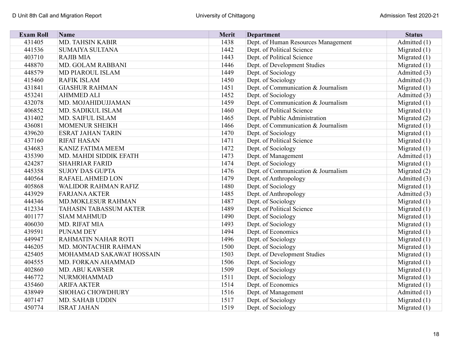| <b>Exam Roll</b> | <b>Name</b>                   | <b>Merit</b> | <b>Department</b>                   | <b>Status</b>  |
|------------------|-------------------------------|--------------|-------------------------------------|----------------|
| 431405           | MD. TAHSIN KABIR              | 1438         | Dept. of Human Resources Management | Admitted (1)   |
| 441536           | <b>SUMAIYA SULTANA</b>        | 1442         | Dept. of Political Science          | Migrated $(1)$ |
| 403710           | <b>RAJIB MIA</b>              | 1443         | Dept. of Political Science          | Migrated $(1)$ |
| 448870           | MD. GOLAM RABBANI             | 1446         | Dept. of Development Studies        | Migrated $(1)$ |
| 448579           | <b>MD PIAROUL ISLAM</b>       | 1449         | Dept. of Sociology                  | Admitted (3)   |
| 415460           | <b>RAFIK ISLAM</b>            | 1450         | Dept. of Sociology                  | Admitted (3)   |
| 431841           | <b>GIASHUR RAHMAN</b>         | 1451         | Dept. of Communication & Journalism | Migrated $(1)$ |
| 453241           | <b>AHMMED ALI</b>             | 1452         | Dept. of Sociology                  | Admitted (3)   |
| 432078           | MD. MOJAHIDUJJAMAN            | 1459         | Dept. of Communication & Journalism | Migrated $(1)$ |
| 406852           | MD. SADIKUL ISLAM             | 1460         | Dept. of Political Science          | Migrated $(1)$ |
| 431402           | <b>MD. SAIFUL ISLAM</b>       | 1465         | Dept. of Public Administration      | Migrated $(2)$ |
| 436081           | <b>MOMENUR SHEIKH</b>         | 1466         | Dept. of Communication & Journalism | Migrated (1)   |
| 439620           | <b>ESRAT JAHAN TARIN</b>      | 1470         | Dept. of Sociology                  | Migrated (1)   |
| 437160           | <b>RIFAT HASAN</b>            | 1471         | Dept. of Political Science          | Migrated $(1)$ |
| 434683           | <b>KANIZ FATIMA MEEM</b>      | 1472         | Dept. of Sociology                  | Migrated $(1)$ |
| 435390           | MD. MAHDI SIDDIK EFATH        | 1473         | Dept. of Management                 | Admitted (1)   |
| 424287           | <b>SHAHRIAR FARID</b>         | 1474         | Dept. of Sociology                  | Migrated $(1)$ |
| 445358           | <b>SUJOY DAS GUPTA</b>        | 1476         | Dept. of Communication & Journalism | Migrated $(2)$ |
| 440564           | <b>RAFAEL AHMED LON</b>       | 1479         | Dept. of Anthropology               | Admitted (3)   |
| 405868           | <b>WALIDOR RAHMAN RAFIZ</b>   | 1480         | Dept. of Sociology                  | Migrated $(1)$ |
| 443929           | <b>FARJANA AKTER</b>          | 1485         | Dept. of Anthropology               | Admitted (3)   |
| 444346           | MD.MOKLESUR RAHMAN            | 1487         | Dept. of Sociology                  | Migrated $(1)$ |
| 412334           | <b>TAHASIN TABASSUM AKTER</b> | 1489         | Dept. of Political Science          | Migrated $(1)$ |
| 401177           | <b>SIAM MAHMUD</b>            | 1490         | Dept. of Sociology                  | Migrated $(1)$ |
| 406030           | MD. RIFAT MIA                 | 1493         | Dept. of Sociology                  | Migrated $(1)$ |
| 439591           | <b>PUNAM DEY</b>              | 1494         | Dept. of Economics                  | Migrated $(1)$ |
| 449947           | <b>RAHMATIN NAHAR ROTI</b>    | 1496         | Dept. of Sociology                  | Migrated $(1)$ |
| 446205           | MD. MONTACHIR RAHMAN          | 1500         | Dept. of Sociology                  | Migrated $(1)$ |
| 425405           | MOHAMMAD SAKAWAT HOSSAIN      | 1503         | Dept. of Development Studies        | Migrated $(1)$ |
| 404555           | MD. FORKAN AHAMMAD            | 1506         | Dept. of Sociology                  | Migrated $(1)$ |
| 402860           | MD. ABU KAWSER                | 1509         | Dept. of Sociology                  | Migrated $(1)$ |
| 446772           | NURMOHAMMAD                   | 1511         | Dept. of Sociology                  | Migrated $(1)$ |
| 435460           | <b>ARIFA AKTER</b>            | 1514         | Dept. of Economics                  | Migrated $(1)$ |
| 438949           | <b>SHOHAG CHOWDHURY</b>       | 1516         | Dept. of Management                 | Admitted (1)   |
| 407147           | <b>MD. SAHAB UDDIN</b>        | 1517         | Dept. of Sociology                  | Migrated $(1)$ |
| 450774           | <b>ISRAT JAHAN</b>            | 1519         | Dept. of Sociology                  | Migrated $(1)$ |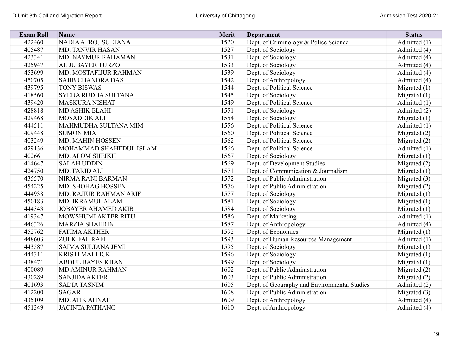| <b>Exam Roll</b> | Name                       | <b>Merit</b> | <b>Department</b>                            | <b>Status</b>  |
|------------------|----------------------------|--------------|----------------------------------------------|----------------|
| 422460           | NADIA AFROJ SULTANA        | 1520         | Dept. of Criminology & Police Science        | Admitted (1)   |
| 405487           | <b>MD. TANVIR HASAN</b>    | 1527         | Dept. of Sociology                           | Admitted (4)   |
| 423341           | MD. NAYMUR RAHAMAN         | 1531         | Dept. of Sociology                           | Admitted (4)   |
| 425947           | <b>AL JUBAYER TURZO</b>    | 1533         | Dept. of Sociology                           | Admitted (4)   |
| 453699           | MD. MOSTAFIJUR RAHMAN      | 1539         | Dept. of Sociology                           | Admitted (4)   |
| 450705           | <b>SAJIB CHANDRA DAS</b>   | 1542         | Dept. of Anthropology                        | Admitted (4)   |
| 439795           | <b>TONY BISWAS</b>         | 1544         | Dept. of Political Science                   | Migrated $(1)$ |
| 418560           | <b>SYEDA RUDBA SULTANA</b> | 1545         | Dept. of Sociology                           | Migrated $(1)$ |
| 439420           | <b>MASKURA NISHAT</b>      | 1549         | Dept. of Political Science                   | Admitted (1)   |
| 428818           | <b>MD ASHIK ELAHI</b>      | 1551         | Dept. of Sociology                           | Admitted (2)   |
| 429468           | <b>MOSADDIK ALI</b>        | 1554         | Dept. of Sociology                           | Migrated $(1)$ |
| 444511           | MAHMUDHA SULTANA MIM       | 1556         | Dept. of Political Science                   | Admitted (1)   |
| 409448           | <b>SUMON MIA</b>           | 1560         | Dept. of Political Science                   | Migrated (2)   |
| 403249           | <b>MD. MAHIN HOSSEN</b>    | 1562         | Dept. of Political Science                   | Migrated $(2)$ |
| 429136           | MOHAMMAD SHAHEDUL ISLAM    | 1566         | Dept. of Political Science                   | Admitted (1)   |
| 402661           | MD. ALOM SHEIKH            | 1567         | Dept. of Sociology                           | Migrated $(1)$ |
| 414647           | <b>SALAH UDDIN</b>         | 1569         | Dept. of Development Studies                 | Migrated $(2)$ |
| 424750           | MD. FARID ALI              | 1571         | Dept. of Communication & Journalism          | Migrated $(1)$ |
| 435570           | NIRMA RANI BARMAN          | 1572         | Dept. of Public Administration               | Migrated $(3)$ |
| 454225           | MD. SHOHAG HOSSEN          | 1576         | Dept. of Public Administration               | Migrated $(2)$ |
| 444938           | MD. RAJIUR RAHMAN ARIF     | 1577         | Dept. of Sociology                           | Migrated $(1)$ |
| 450183           | MD. IKRAMUL ALAM           | 1581         | Dept. of Sociology                           | Migrated $(1)$ |
| 444343           | <b>JOBAYER AHAMED AKIB</b> | 1584         | Dept. of Sociology                           | Migrated $(1)$ |
| 419347           | MOWSHUMI AKTER RITU        | 1586         | Dept. of Marketing                           | Admitted (1)   |
| 446326           | <b>MARZIA SHAHRIN</b>      | 1587         | Dept. of Anthropology                        | Admitted (4)   |
| 452762           | <b>FATIMA AKTHER</b>       | 1592         | Dept. of Economics                           | Migrated $(1)$ |
| 448603           | <b>ZULKIFAL RAFI</b>       | 1593         | Dept. of Human Resources Management          | Admitted (1)   |
| 443587           | <b>SAIMA SULTANA JEMI</b>  | 1595         | Dept. of Sociology                           | Migrated $(1)$ |
| 444311           | <b>KRISTI MALLICK</b>      | 1596         | Dept. of Sociology                           | Migrated $(1)$ |
| 438471           | <b>ABDUL BAYES KHAN</b>    | 1599         | Dept. of Sociology                           | Migrated (1)   |
| 400089           | <b>MD AMINUR RAHMAN</b>    | 1602         | Dept. of Public Administration               | Migrated (2)   |
| 430289           | <b>SANJIDA AKTER</b>       | 1603         | Dept. of Public Administration               | Migrated $(2)$ |
| 401693           | <b>SADIA TASNIM</b>        | 1605         | Dept. of Geography and Environmental Studies | Admitted (2)   |
| 412200           | <b>SAGAR</b>               | 1608         | Dept. of Public Administration               | Migrated (3)   |
| 435109           | <b>MD. ATIK AHNAF</b>      | 1609         | Dept. of Anthropology                        | Admitted (4)   |
| 451349           | <b>JACINTA PATHANG</b>     | 1610         | Dept. of Anthropology                        | Admitted (4)   |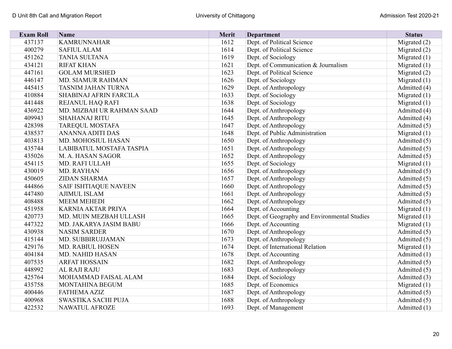| <b>Exam Roll</b> | Name                         | <b>Merit</b> | <b>Department</b>                            | <b>Status</b>  |
|------------------|------------------------------|--------------|----------------------------------------------|----------------|
| 437137           | <b>KAMRUNNAHAR</b>           | 1612         | Dept. of Political Science                   | Migrated (2)   |
| 400279           | <b>SAFIUL ALAM</b>           | 1614         | Dept. of Political Science                   | Migrated (2)   |
| 451262           | <b>TANIA SULTANA</b>         | 1619         | Dept. of Sociology                           | Migrated $(1)$ |
| 434121           | <b>RIFAT KHAN</b>            | 1621         | Dept. of Communication & Journalism          | Migrated $(1)$ |
| 447161           | <b>GOLAM MURSHED</b>         | 1623         | Dept. of Political Science                   | Migrated (2)   |
| 446147           | MD. SIAMUR RAHMAN            | 1626         | Dept. of Sociology                           | Migrated $(1)$ |
| 445415           | TASNIM JAHAN TURNA           | 1629         | Dept. of Anthropology                        | Admitted (4)   |
| 410884           | SHABINAJ AFRIN FARCILA       | 1633         | Dept. of Sociology                           | Migrated $(1)$ |
| 441448           | <b>REJANUL HAQ RAFI</b>      | 1638         | Dept. of Sociology                           | Migrated $(1)$ |
| 436922           | MD. MIZBAH UR RAHMAN SAAD    | 1644         | Dept. of Anthropology                        | Admitted (4)   |
| 409943           | <b>SHAHANAJ RITU</b>         | 1645         | Dept. of Anthropology                        | Admitted (4)   |
| 428398           | <b>TAREQUL MOSTAFA</b>       | 1647         | Dept. of Anthropology                        | Admitted (5)   |
| 438537           | <b>ANANNA ADITI DAS</b>      | 1648         | Dept. of Public Administration               | Migrated $(1)$ |
| 403813           | MD. MOHOSIUL HASAN           | 1650         | Dept. of Anthropology                        | Admitted (5)   |
| 435744           | LABIBATUL MOSTAFA TASPIA     | 1651         | Dept. of Anthropology                        | Admitted (5)   |
| 435026           | M. A. HASAN SAGOR            | 1652         | Dept. of Anthropology                        | Admitted (5)   |
| 454115           | MD. RAFI ULLAH               | 1655         | Dept. of Sociology                           | Migrated $(1)$ |
| 430019           | MD. RAYHAN                   | 1656         | Dept. of Anthropology                        | Admitted (5)   |
| 450605           | <b>ZIDAN SHARMA</b>          | 1657         | Dept. of Anthropology                        | Admitted (5)   |
| 444866           | <b>SAIF ISHTIAQUE NAVEEN</b> | 1660         | Dept. of Anthropology                        | Admitted (5)   |
| 447480           | <b>AJIMUL ISLAM</b>          | 1661         | Dept. of Anthropology                        | Admitted (5)   |
| 408488           | <b>MEEM MEHEDI</b>           | 1662         | Dept. of Anthropology                        | Admitted (5)   |
| 451958           | <b>KARNIA AKTAR PRIYA</b>    | 1664         | Dept. of Accounting                          | Migrated $(1)$ |
| 420773           | MD. MUIN MEZBAH ULLASH       | 1665         | Dept. of Geography and Environmental Studies | Migrated $(1)$ |
| 447322           | MD. JAKARYA JASIM BABU       | 1666         | Dept. of Accounting                          | Migrated $(1)$ |
| 430938           | <b>NASIM SARDER</b>          | 1670         | Dept. of Anthropology                        | Admitted (5)   |
| 415144           | MD. SUBBIRUJJAMAN            | 1673         | Dept. of Anthropology                        | Admitted (5)   |
| 429176           | <b>MD. RABIUL HOSEN</b>      | 1674         | Dept. of International Relation              | Migrated $(1)$ |
| 404184           | <b>MD. NAHID HASAN</b>       | 1678         | Dept. of Accounting                          | Admitted (1)   |
| 407535           | <b>ARFAT HOSSAIN</b>         | 1682         | Dept. of Anthropology                        | Admitted (5)   |
| 448992           | <b>AL RAJI RAJU</b>          | 1683         | Dept. of Anthropology                        | Admitted (5)   |
| 425764           | MOHAMMAD FAISAL ALAM         | 1684         | Dept. of Sociology                           | Admitted (3)   |
| 435758           | <b>MONTAHINA BEGUM</b>       | 1685         | Dept. of Economics                           | Migrated $(1)$ |
| 400446           | <b>FATHEMA AZIZ</b>          | 1687         | Dept. of Anthropology                        | Admitted (5)   |
| 400968           | SWASTIKA SACHI PUJA          | 1688         | Dept. of Anthropology                        | Admitted (5)   |
| 422532           | <b>NAWATUL AFROZE</b>        | 1693         | Dept. of Management                          | Admitted (1)   |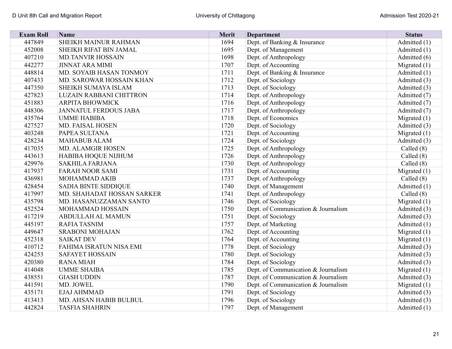| <b>Exam Roll</b> | Name                           | <b>Merit</b> | <b>Department</b>                   | <b>Status</b>  |
|------------------|--------------------------------|--------------|-------------------------------------|----------------|
| 447849           | SHEIKH MAINUR RAHMAN           | 1694         | Dept. of Banking & Insurance        | Admitted (1)   |
| 452008           | SHEIKH RIFAT BIN JAMAL         | 1695         | Dept. of Management                 | Admitted (1)   |
| 407210           | <b>MD.TANVIR HOSSAIN</b>       | 1698         | Dept. of Anthropology               | Admitted (6)   |
| 442277           | <b>JINNAT ARA MIMI</b>         | 1707         | Dept. of Accounting                 | Migrated $(1)$ |
| 448814           | MD. SOYAIB HASAN TONMOY        | 1711         | Dept. of Banking & Insurance        | Admitted (1)   |
| 407433           | MD. SAROWAR HOSSAIN KHAN       | 1712         | Dept. of Sociology                  | Admitted (3)   |
| 447350           | SHEIKH SUMAYA ISLAM            | 1713         | Dept. of Sociology                  | Admitted (3)   |
| 427823           | <b>LUZAIN RABBANI CHITTRON</b> | 1714         | Dept. of Anthropology               | Admitted (7)   |
| 451883           | <b>ARPITA BHOWMICK</b>         | 1716         | Dept. of Anthropology               | Admitted (7)   |
| 448306           | <b>JANNATUL FERDOUS JABA</b>   | 1717         | Dept. of Anthropology               | Admitted (7)   |
| 435764           | <b>UMME HABIBA</b>             | 1718         | Dept. of Economics                  | Migrated $(1)$ |
| 427527           | <b>MD. FAISAL HOSEN</b>        | 1720         | Dept. of Sociology                  | Admitted (3)   |
| 403248           | PAPEA SULTANA                  | 1721         | Dept. of Accounting                 | Migrated $(1)$ |
| 428234           | <b>MAHABUB ALAM</b>            | 1724         | Dept. of Sociology                  | Admitted (3)   |
| 417035           | <b>MD. ALAMGIR HOSEN</b>       | 1725         | Dept. of Anthropology               | Called $(8)$   |
| 443613           | HABIBA HOQUE NIJHUM            | 1726         | Dept. of Anthropology               | Called $(8)$   |
| 429976           | <b>SAKHILA FARJANA</b>         | 1730         | Dept. of Anthropology               | Called $(8)$   |
| 417937           | <b>FARAH NOOR SAMI</b>         | 1731         | Dept. of Accounting                 | Migrated $(1)$ |
| 436981           | MOHAMMAD AKIB                  | 1737         | Dept. of Anthropology               | Called $(8)$   |
| 428454           | <b>SADIA BINTE SIDDIQUE</b>    | 1740         | Dept. of Management                 | Admitted (1)   |
| 417997           | MD. SHAHADAT HOSSAN SARKER     | 1741         | Dept. of Anthropology               | Called $(8)$   |
| 435798           | MD. HASANUZZAMAN SANTO         | 1746         | Dept. of Sociology                  | Migrated $(1)$ |
| 452524           | MOHAMMAD HOSSAIN               | 1750         | Dept. of Communication & Journalism | Admitted (3)   |
| 417219           | <b>ABDULLAH AL MAMUN</b>       | 1751         | Dept. of Sociology                  | Admitted (3)   |
| 445197           | <b>RAFIA TASNIM</b>            | 1757         | Dept. of Marketing                  | Admitted (1)   |
| 449647           | <b>SRABONI MOHAJAN</b>         | 1762         | Dept. of Accounting                 | Migrated $(1)$ |
| 452318           | <b>SAIKAT DEV</b>              | 1764         | Dept. of Accounting                 | Migrated $(1)$ |
| 410712           | FAHIMA ISRATUN NISA EMI        | 1778         | Dept. of Sociology                  | Admitted (3)   |
| 424253           | <b>SAFAYET HOSSAIN</b>         | 1780         | Dept. of Sociology                  | Admitted (3)   |
| 420380           | <b>RANA MIAH</b>               | 1784         | Dept. of Sociology                  | Admitted (3)   |
| 414048           | <b>UMME SHAIBA</b>             | 1785         | Dept. of Communication & Journalism | Migrated $(1)$ |
| 438551           | <b>GIASH UDDIN</b>             | 1787         | Dept. of Communication & Journalism | Admitted (3)   |
| 441591           | MD. JOWEL                      | 1790         | Dept. of Communication & Journalism | Migrated $(1)$ |
| 435171           | <b>EJAJ AHMMAD</b>             | 1791         | Dept. of Sociology                  | Admitted (3)   |
| 413413           | MD. AHSAN HABIB BULBUL         | 1796         | Dept. of Sociology                  | Admitted (3)   |
| 442824           | <b>TASFIA SHAHRIN</b>          | 1797         | Dept. of Management                 | Admitted (1)   |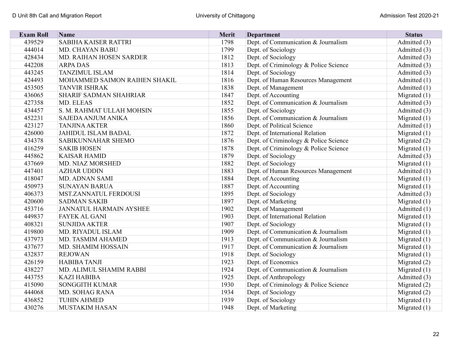| <b>Exam Roll</b> | Name                           | <b>Merit</b> | <b>Department</b>                     | <b>Status</b>  |
|------------------|--------------------------------|--------------|---------------------------------------|----------------|
| 439529           | <b>SABIHA KAISER RATTRI</b>    | 1798         | Dept. of Communication & Journalism   | Admitted (3)   |
| 444014           | MD. CHAYAN BABU                | 1799         | Dept. of Sociology                    | Admitted (3)   |
| 428434           | MD. RAIHAN HOSEN SARDER        | 1812         | Dept. of Sociology                    | Admitted (3)   |
| 442208           | <b>ARPADAS</b>                 | 1813         | Dept. of Criminology & Police Science | Admitted (3)   |
| 443245           | <b>TANZIMUL ISLAM</b>          | 1814         | Dept. of Sociology                    | Admitted (3)   |
| 424493           | MOHAMMED SAIMON RAIHEN SHAKIL  | 1816         | Dept. of Human Resources Management   | Admitted (1)   |
| 453505           | <b>TANVIR ISHRAK</b>           | 1838         | Dept. of Management                   | Admitted (1)   |
| 436065           | SHARIF SADMAN SHAHRIAR         | 1847         | Dept. of Accounting                   | Migrated $(1)$ |
| 427358           | MD. ELEAS                      | 1852         | Dept. of Communication & Journalism   | Admitted (3)   |
| 434457           | S. M. RAHMAT ULLAH MOHSIN      | 1855         | Dept. of Sociology                    | Admitted (3)   |
| 452231           | <b>SAJEDA ANJUM ANIKA</b>      | 1856         | Dept. of Communication & Journalism   | Migrated $(1)$ |
| 423127           | <b>TANJINA AKTER</b>           | 1860         | Dept. of Political Science            | Admitted (1)   |
| 426000           | <b>JAHIDUL ISLAM BADAL</b>     | 1872         | Dept. of International Relation       | Migrated $(1)$ |
| 434378           | <b>SABIKUNNAHAR SHEMO</b>      | 1876         | Dept. of Criminology & Police Science | Migrated $(2)$ |
| 416259           | <b>SAKIB HOSEN</b>             | 1878         | Dept. of Criminology & Police Science | Migrated $(1)$ |
| 445862           | <b>KAISAR HAMID</b>            | 1879         | Dept. of Sociology                    | Admitted (3)   |
| 437669           | <b>MD. NIAZ MORSHED</b>        | 1882         | Dept. of Sociology                    | Migrated $(1)$ |
| 447401           | <b>AZHAR UDDIN</b>             | 1883         | Dept. of Human Resources Management   | Admitted $(1)$ |
| 418047           | <b>MD. ADNAN SAMI</b>          | 1884         | Dept. of Accounting                   | Migrated $(1)$ |
| 450973           | <b>SUNAYAN BARUA</b>           | 1887         | Dept. of Accounting                   | Migrated $(1)$ |
| 406373           | MST.ZANNATUL FERDOUSI          | 1895         | Dept. of Sociology                    | Admitted (3)   |
| 420600           | <b>SADMAN SAKIB</b>            | 1897         | Dept. of Marketing                    | Migrated $(1)$ |
| 453716           | <b>JANNATUL HARMAIN AYSHEE</b> | 1902         | Dept. of Management                   | Admitted (1)   |
| 449837           | <b>FAYEK AL GANI</b>           | 1903         | Dept. of International Relation       | Migrated $(1)$ |
| 408321           | <b>SUNJIDA AKTER</b>           | 1907         | Dept. of Sociology                    | Migrated $(1)$ |
| 419800           | <b>MD. RIYADUL ISLAM</b>       | 1909         | Dept. of Communication & Journalism   | Migrated $(1)$ |
| 437973           | MD. TASMIM AHAMED              | 1913         | Dept. of Communication & Journalism   | Migrated $(1)$ |
| 437677           | MD. SHAMIM HOSSAIN             | 1917         | Dept. of Communication & Journalism   | Migrated $(1)$ |
| 432837           | <b>REJOWAN</b>                 | 1918         | Dept. of Sociology                    | Migrated $(1)$ |
| 426159           | <b>HABIBA TANJI</b>            | 1923         | Dept. of Economics                    | Migrated (2)   |
| 438227           | MD. ALIMUL SHAMIM RABBI        | 1924         | Dept. of Communication & Journalism   | Migrated $(1)$ |
| 443755           | <b>KAZI HABIBA</b>             | 1925         | Dept. of Anthropology                 | Admitted (3)   |
| 415090           | <b>SONGGITH KUMAR</b>          | 1930         | Dept. of Criminology & Police Science | Migrated $(2)$ |
| 444068           | <b>MD. SOHAG RANA</b>          | 1934         | Dept. of Sociology                    | Migrated (2)   |
| 436852           | <b>TUHIN AHMED</b>             | 1939         | Dept. of Sociology                    | Migrated $(1)$ |
| 430276           | <b>MUSTAKIM HASAN</b>          | 1948         | Dept. of Marketing                    | Migrated $(1)$ |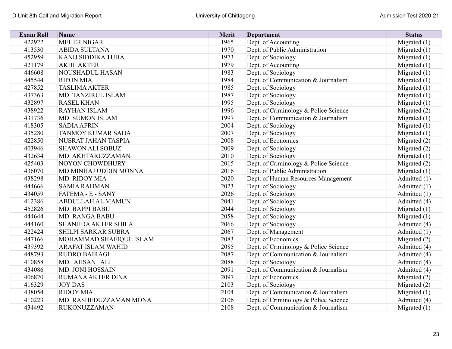| <b>Exam Roll</b> | Name                        | Merit | <b>Department</b>                     | <b>Status</b>  |
|------------------|-----------------------------|-------|---------------------------------------|----------------|
| 422922           | <b>MEHER NIGAR</b>          | 1965  | Dept. of Accounting                   | Migrated $(1)$ |
| 413530           | <b>ABIDA SULTANA</b>        | 1970  | Dept. of Public Administration        | Migrated $(1)$ |
| 452959           | KANIJ SIDDIKA TUHA          | 1973  | Dept. of Sociology                    | Migrated $(1)$ |
| 421179           | <b>AKHI AKTER</b>           | 1979  | Dept. of Accounting                   | Migrated $(1)$ |
| 446608           | <b>NOUSHADUL HASAN</b>      | 1983  | Dept. of Sociology                    | Migrated $(1)$ |
| 445544           | <b>RIPON MIA</b>            | 1984  | Dept. of Communication & Journalism   | Migrated $(1)$ |
| 427852           | <b>TASLIMA AKTER</b>        | 1985  | Dept. of Sociology                    | Migrated $(1)$ |
| 437363           | MD. TANZIRUL ISLAM          | 1987  | Dept. of Sociology                    | Migrated (1)   |
| 432897           | <b>RASEL KHAN</b>           | 1995  | Dept. of Sociology                    | Migrated $(1)$ |
| 438922           | <b>RAYHAN ISLAM</b>         | 1996  | Dept. of Criminology & Police Science | Migrated (2)   |
| 431736           | MD. SUMON ISLAM             | 1997  | Dept. of Communication & Journalism   | Migrated $(1)$ |
| 418305           | <b>SADIA AFRIN</b>          | 2004  | Dept. of Sociology                    | Migrated $(1)$ |
| 435280           | <b>TANMOY KUMAR SAHA</b>    | 2007  | Dept. of Sociology                    | Migrated $(1)$ |
| 422850           | NUSRAT JAHAN TASPIA         | 2008  | Dept. of Economics                    | Migrated (2)   |
| 403946           | <b>SHAWON ALI SOBUZ</b>     | 2009  | Dept. of Sociology                    | Migrated (2)   |
| 432634           | MD. AKHTARUZZAMAN           | 2010  | Dept. of Sociology                    | Migrated $(1)$ |
| 425403           | <b>NOYON CHOWDHURY</b>      | 2015  | Dept. of Criminology & Police Science | Migrated (2)   |
| 436070           | MD MINHAJ UDDIN MONNA       | 2016  | Dept. of Public Administration        | Migrated $(1)$ |
| 438298           | <b>MD. RIDOY MIA</b>        | 2020  | Dept. of Human Resources Management   | Admitted (1)   |
| 444666           | <b>SAMIA RAHMAN</b>         | 2023  | Dept. of Sociology                    | Admitted (1)   |
| 434059           | <b>FATEMA - E - SANY</b>    | 2026  | Dept. of Sociology                    | Admitted (1)   |
| 412386           | <b>ABDULLAH AL MAMUN</b>    | 2041  | Dept. of Sociology                    | Admitted (4)   |
| 452826           | MD. BAPPI BABU              | 2044  | Dept. of Sociology                    | Migrated $(1)$ |
| 444644           | <b>MD. RANGA BABU</b>       | 2058  | Dept. of Sociology                    | Migrated $(1)$ |
| 444160           | <b>SHANJIDA AKTER SHILA</b> | 2066  | Dept. of Sociology                    | Admitted (4)   |
| 422424           | SHILPI SARKAR SUBRA         | 2067  | Dept. of Management                   | Admitted (1)   |
| 447166           | MOHAMMAD SHAFIQUL ISLAM     | 2083  | Dept. of Economics                    | Migrated $(2)$ |
| 439392           | <b>ARAFAT ISLAM WAHID</b>   | 2085  | Dept. of Criminology & Police Science | Admitted (4)   |
| 448793           | <b>RUDRO BAIRAGI</b>        | 2087  | Dept. of Communication & Journalism   | Admitted (4)   |
| 410858           | MD. AHSAN ALI               | 2088  | Dept. of Sociology                    | Admitted (4)   |
| 434086           | <b>MD. JONI HOSSAIN</b>     | 2091  | Dept. of Communication & Journalism   | Admitted (4)   |
| 406820           | RUMANA AKTER DINA           | 2097  | Dept. of Economics                    | Migrated (2)   |
| 416329           | <b>JOY DAS</b>              | 2103  | Dept. of Sociology                    | Migrated (2)   |
| 438054           | <b>RIDOY MIA</b>            | 2104  | Dept. of Communication & Journalism   | Migrated $(1)$ |
| 410223           | MD. RASHEDUZZAMAN MONA      | 2106  | Dept. of Criminology & Police Science | Admitted (4)   |
| 434492           | <b>RUKONUZZAMAN</b>         | 2108  | Dept. of Communication & Journalism   | Migrated $(1)$ |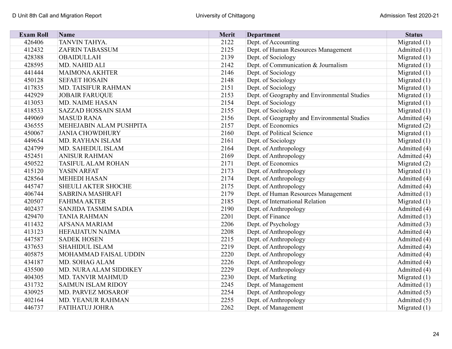| <b>Exam Roll</b> | <b>Name</b>                 | Merit | <b>Department</b>                            | <b>Status</b>  |
|------------------|-----------------------------|-------|----------------------------------------------|----------------|
| 426406           | TANVIN TAHYA.               | 2122  | Dept. of Accounting                          | Migrated $(1)$ |
| 412432           | <b>ZAFRIN TABASSUM</b>      | 2125  | Dept. of Human Resources Management          | Admitted (1)   |
| 428388           | <b>OBAIDULLAH</b>           | 2139  | Dept. of Sociology                           | Migrated $(1)$ |
| 428595           | MD. NAHID ALI               | 2142  | Dept. of Communication & Journalism          | Migrated $(1)$ |
| 441444           | <b>MAIMONA AKHTER</b>       | 2146  | Dept. of Sociology                           | Migrated $(1)$ |
| 450128           | <b>SEFAET HOSAIN</b>        | 2148  | Dept. of Sociology                           | Migrated $(1)$ |
| 417835           | MD. TAISIFUR RAHMAN         | 2151  | Dept. of Sociology                           | Migrated $(1)$ |
| 442929           | <b>JOBAIR FARUQUE</b>       | 2153  | Dept. of Geography and Environmental Studies | Migrated $(1)$ |
| 413053           | MD. NAIME HASAN             | 2154  | Dept. of Sociology                           | Migrated $(1)$ |
| 418533           | <b>SAZZAD HOSSAIN SIAM</b>  | 2155  | Dept. of Sociology                           | Migrated $(1)$ |
| 449069           | <b>MASUD RANA</b>           | 2156  | Dept. of Geography and Environmental Studies | Admitted (4)   |
| 436555           | MEHEJABIN ALAM PUSHPITA     | 2157  | Dept. of Economics                           | Migrated $(2)$ |
| 450067           | <b>JANIA CHOWDHURY</b>      | 2160  | Dept. of Political Science                   | Migrated $(1)$ |
| 449654           | MD. RAYHAN ISLAM            | 2161  | Dept. of Sociology                           | Migrated $(1)$ |
| 424799           | MD. SAHEDUL ISLAM           | 2164  | Dept. of Anthropology                        | Admitted (4)   |
| 452451           | <b>ANISUR RAHMAN</b>        | 2169  | Dept. of Anthropology                        | Admitted (4)   |
| 450522           | <b>TASIFUL ALAM ROHAN</b>   | 2171  | Dept. of Economics                           | Migrated $(2)$ |
| 415120           | <b>YASIN ARFAT</b>          | 2173  | Dept. of Anthropology                        | Migrated $(1)$ |
| 428564           | <b>MEHEDI HASAN</b>         | 2174  | Dept. of Anthropology                        | Admitted (4)   |
| 445747           | <b>SHEULI AKTER SHOCHE</b>  | 2175  | Dept. of Anthropology                        | Admitted (4)   |
| 406744           | <b>SABRINA MASHRAFI</b>     | 2179  | Dept. of Human Resources Management          | Admitted (1)   |
| 420507           | <b>FAHIMA AKTER</b>         | 2185  | Dept. of International Relation              | Migrated $(1)$ |
| 402437           | <b>SANJIDA TASMIM SADIA</b> | 2190  | Dept. of Anthropology                        | Admitted (4)   |
| 429470           | <b>TANIA RAHMAN</b>         | 2201  | Dept. of Finance                             | Admitted (1)   |
| 411432           | <b>AFSANA MARIAM</b>        | 2206  | Dept. of Psychology                          | Admitted (3)   |
| 413123           | <b>HEFAIJATUN NAIMA</b>     | 2208  | Dept. of Anthropology                        | Admitted (4)   |
| 447587           | <b>SADEK HOSEN</b>          | 2215  | Dept. of Anthropology                        | Admitted (4)   |
| 437653           | <b>SHAHIDUL ISLAM</b>       | 2219  | Dept. of Anthropology                        | Admitted (4)   |
| 405875           | MOHAMMAD FAISAL UDDIN       | 2220  | Dept. of Anthropology                        | Admitted (4)   |
| 434187           | MD. SOHAG ALAM              | 2226  | Dept. of Anthropology                        | Admitted (4)   |
| 435500           | MD. NURA ALAM SIDDIKEY      | 2229  | Dept. of Anthropology                        | Admitted (4)   |
| 404305           | <b>MD. TANVIR MAHMUD</b>    | 2230  | Dept. of Marketing                           | Migrated $(1)$ |
| 431732           | <b>SAIMUN ISLAM RIDOY</b>   | 2245  | Dept. of Management                          | Admitted (1)   |
| 430925           | MD. PARVEZ MOSAROF          | 2254  | Dept. of Anthropology                        | Admitted (5)   |
| 402164           | MD. YEANUR RAHMAN           | 2255  | Dept. of Anthropology                        | Admitted (5)   |
| 446737           | <b>FATIHATUJ JOHRA</b>      | 2262  | Dept. of Management                          | Migrated $(1)$ |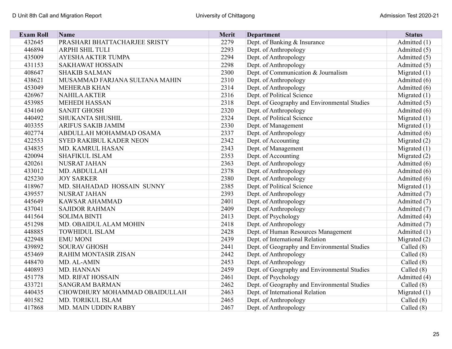| <b>Exam Roll</b> | <b>Name</b>                    | <b>Merit</b> | <b>Department</b>                            | <b>Status</b>  |
|------------------|--------------------------------|--------------|----------------------------------------------|----------------|
| 432645           | PRASHARI BHATTACHARJEE SRISTY  | 2279         | Dept. of Banking & Insurance                 | Admitted (1)   |
| 446894           | ARPHI SHIL TULI                | 2293         | Dept. of Anthropology                        | Admitted (5)   |
| 435009           | AYESHA AKTER TUMPA             | 2294         | Dept. of Anthropology                        | Admitted (5)   |
| 431153           | <b>SAKHAWAT HOSSAIN</b>        | 2298         | Dept. of Anthropology                        | Admitted (5)   |
| 408647           | <b>SHAKIB SALMAN</b>           | 2300         | Dept. of Communication & Journalism          | Migrated $(1)$ |
| 438621           | MUSAMMAD FARJANA SULTANA MAHIN | 2310         | Dept. of Anthropology                        | Admitted (6)   |
| 453049           | <b>MEHERAB KHAN</b>            | 2314         | Dept. of Anthropology                        | Admitted (6)   |
| 426967           | <b>NAHILA AKTER</b>            | 2316         | Dept. of Political Science                   | Migrated $(1)$ |
| 453985           | <b>MEHEDI HASSAN</b>           | 2318         | Dept. of Geography and Environmental Studies | Admitted (5)   |
| 434160           | <b>SANJIT GHOSH</b>            | 2320         | Dept. of Anthropology                        | Admitted (6)   |
| 440492           | <b>SHUKANTA SHUSHIL</b>        | 2324         | Dept. of Political Science                   | Migrated $(1)$ |
| 403355           | <b>ARIFUS SAKIB JAMIM</b>      | 2330         | Dept. of Management                          | Migrated $(1)$ |
| 402774           | ABDULLAH MOHAMMAD OSAMA        | 2337         | Dept. of Anthropology                        | Admitted (6)   |
| 422553           | <b>SYED RAKIBUL KADER NEON</b> | 2342         | Dept. of Accounting                          | Migrated $(2)$ |
| 434835           | <b>MD. KAMRUL HASAN</b>        | 2343         | Dept. of Management                          | Migrated $(1)$ |
| 420094           | <b>SHAFIKUL ISLAM</b>          | 2353         | Dept. of Accounting                          | Migrated $(2)$ |
| 420261           | NUSRAT JAHAN                   | 2363         | Dept. of Anthropology                        | Admitted (6)   |
| 433012           | MD. ABDULLAH                   | 2378         | Dept. of Anthropology                        | Admitted (6)   |
| 425230           | <b>JOY SARKER</b>              | 2380         | Dept. of Anthropology                        | Admitted (6)   |
| 418967           | MD. SHAHADAD HOSSAIN SUNNY     | 2385         | Dept. of Political Science                   | Migrated $(1)$ |
| 439557           | NUSRAT JAHAN                   | 2393         | Dept. of Anthropology                        | Admitted (7)   |
| 445649           | <b>KAWSAR AHAMMAD</b>          | 2401         | Dept. of Anthropology                        | Admitted (7)   |
| 437041           | <b>SAJIDOR RAHMAN</b>          | 2409         | Dept. of Anthropology                        | Admitted (7)   |
| 441564           | <b>SOLIMA BINTI</b>            | 2413         | Dept. of Psychology                          | Admitted (4)   |
| 451298           | MD. OBAIDUL ALAM MOHIN         | 2418         | Dept. of Anthropology                        | Admitted (7)   |
| 448885           | <b>TOWHIDUL ISLAM</b>          | 2428         | Dept. of Human Resources Management          | Admitted (1)   |
| 422948           | <b>EMU MONI</b>                | 2439         | Dept. of International Relation              | Migrated $(2)$ |
| 439892           | <b>SOURAV GHOSH</b>            | 2441         | Dept. of Geography and Environmental Studies | Called $(8)$   |
| 453469           | <b>RAHIM MONTASIR ZISAN</b>    | 2442         | Dept. of Anthropology                        | Called $(8)$   |
| 448470           | MD. AL-AMIN                    | 2453         | Dept. of Anthropology                        | Called $(8)$   |
| 440893           | MD. HANNAN                     | 2459         | Dept. of Geography and Environmental Studies | Called $(8)$   |
| 451778           | <b>MD. RIFAT HOSSAIN</b>       | 2461         | Dept. of Psychology                          | Admitted (4)   |
| 433721           | <b>SANGRAM BARMAN</b>          | 2462         | Dept. of Geography and Environmental Studies | Called $(8)$   |
| 440435           | CHOWDHURY MOHAMMAD OBAIDULLAH  | 2463         | Dept. of International Relation              | Migrated $(1)$ |
| 401582           | MD. TORIKUL ISLAM              | 2465         | Dept. of Anthropology                        | Called $(8)$   |
| 417868           | MD. MAIN UDDIN RABBY           | 2467         | Dept. of Anthropology                        | Called (8)     |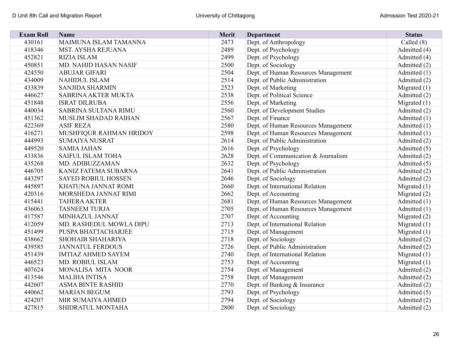| <b>Exam Roll</b> | Name                       | <b>Merit</b> | <b>Department</b>                   | <b>Status</b>  |
|------------------|----------------------------|--------------|-------------------------------------|----------------|
| 430161           | MAIMUNA ISLAM TAMANNA      | 2473         | Dept. of Anthropology               | Called (8)     |
| 418346           | <b>MST. AYSHA REJUANA</b>  | 2489         | Dept. of Psychology                 | Admitted (4)   |
| 452821           | <b>RIZIA ISLAM</b>         | 2499         | Dept. of Psychology                 | Admitted (4)   |
| 450851           | MD. NAHID HASAN NASIF      | 2500         | Dept. of Sociology                  | Admitted (2)   |
| 424550           | <b>ABUJAR GIFARI</b>       | 2504         | Dept. of Human Resources Management | Admitted (1)   |
| 434009           | <b>NAHIDUL ISLAM</b>       | 2514         | Dept. of Public Administration      | Admitted (2)   |
| 433839           | <b>SANJIDA SHARMIN</b>     | 2523         | Dept. of Marketing                  | Migrated $(1)$ |
| 446627           | SABRINA AKTER MUKTA        | 2538         | Dept. of Political Science          | Admitted (2)   |
| 451848           | <b>ISRAT DILRUBA</b>       | 2556         | Dept. of Marketing                  | Migrated $(1)$ |
| 440034           | SABRINA SULTANA RIMU       | 2560         | Dept. of Development Studies        | Admitted (2)   |
| 451362           | MUSLIM SHADAD RAIHAN       | 2567         | Dept. of Finance                    | Admitted (1)   |
| 422369           | <b>ASIF REZA</b>           | 2580         | Dept. of Human Resources Management | Admitted (1)   |
| 416271           | MUSHFIQUR RAHMAN HRIDOY    | 2598         | Dept. of Human Resources Management | Admitted (1)   |
| 444993           | <b>SUMAIYA NUSRAT</b>      | 2614         | Dept. of Public Administration      | Admitted (2)   |
| 449520           | <b>SAMIA JAHAN</b>         | 2616         | Dept. of Psychology                 | Admitted (5)   |
| 433836           | <b>SAIFUL ISLAM TOHA</b>   | 2628         | Dept. of Communication & Journalism | Admitted (2)   |
| 435268           | MD. ADIBUZZAMAN            | 2632         | Dept. of Psychology                 | Admitted (5)   |
| 446705           | KANIZ FATEMA SUBARNA       | 2641         | Dept. of Public Administration      | Admitted (2)   |
| 443297           | <b>SAYED ROBIUL HOSSEN</b> | 2646         | Dept. of Sociology                  | Admitted (2)   |
| 445897           | KHATUNA JANNAT ROMI        | 2660         | Dept. of International Relation     | Migrated $(1)$ |
| 420316           | MORSHEDA JANNAT RIMI       | 2662         | Dept. of Accounting                 | Migrated $(2)$ |
| 415441           | <b>TAHERA AKTER</b>        | 2681         | Dept. of Human Resources Management | Admitted (1)   |
| 436063           | <b>TASNEEM TURJA</b>       | 2705         | Dept. of Human Resources Management | Admitted (1)   |
| 417587           | MINHAZUL JANNAT            | 2707         | Dept. of Accounting                 | Migrated (2)   |
| 412059           | MD. RASHEDUL MOWLA DIPU    | 2713         | Dept. of International Relation     | Migrated $(1)$ |
| 451499           | PUSPA BHATTACHARJEE        | 2715         | Dept. of Management                 | Migrated $(1)$ |
| 438662           | <b>SHOHAIB SHAHARIYA</b>   | 2718         | Dept. of Sociology                  | Admitted (2)   |
| 439585           | <b>JANNATUL FERDOUS</b>    | 2726         | Dept. of Public Administration      | Admitted (2)   |
| 451439           | <b>IMTIAZ AHMED SAYEM</b>  | 2740         | Dept. of International Relation     | Migrated $(1)$ |
| 446523           | MD. ROBIUL ISLAM           | 2753         | Dept. of Accounting                 | Migrated $(1)$ |
| 407624           | MONALISA MITA NOOR         | 2754         | Dept. of Management                 | Admitted (2)   |
| 413546           | <b>MALIHA INTISA</b>       | 2758         | Dept. of Management                 | Admitted (2)   |
| 442607           | <b>ASMA BINTE RASHID</b>   | 2770         | Dept. of Banking & Insurance        | Admitted (2)   |
| 440662           | <b>MARJAN BEGUM</b>        | 2793         | Dept. of Psychology                 | Admitted (5)   |
| 424207           | MIR SUMAIYA AHMED          | 2794         | Dept. of Sociology                  | Admitted (2)   |
| 427815           | SHIDRATUL MONTAHA          | 2800         | Dept. of Sociology                  | Admitted (2)   |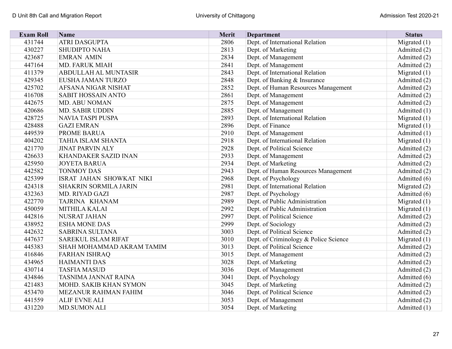| <b>Exam Roll</b> | Name                         | <b>Merit</b> | <b>Department</b>                     | <b>Status</b>  |
|------------------|------------------------------|--------------|---------------------------------------|----------------|
| 431744           | <b>ATRI DASGUPTA</b>         | 2806         | Dept. of International Relation       | Migrated $(1)$ |
| 430227           | <b>SHUDIPTO NAHA</b>         | 2813         | Dept. of Marketing                    | Admitted (2)   |
| 423687           | <b>EMRAN AMIN</b>            | 2834         | Dept. of Management                   | Admitted (2)   |
| 447164           | <b>MD. FARUK MIAH</b>        | 2841         | Dept. of Management                   | Admitted (2)   |
| 411379           | <b>ABDULLAH AL MUNTASIR</b>  | 2843         | Dept. of International Relation       | Migrated (1)   |
| 429345           | EUSHA JAMAN TURZO            | 2848         | Dept. of Banking & Insurance          | Admitted (2)   |
| 425702           | <b>AFSANA NIGAR NISHAT</b>   | 2852         | Dept. of Human Resources Management   | Admitted (2)   |
| 416708           | <b>SABIT HOSSAIN ANTO</b>    | 2861         | Dept. of Management                   | Admitted (2)   |
| 442675           | MD. ABU NOMAN                | 2875         | Dept. of Management                   | Admitted (2)   |
| 420686           | <b>MD. SABIR UDDIN</b>       | 2885         | Dept. of Management                   | Admitted (1)   |
| 428725           | NAVIA TASPI PUSPA            | 2893         | Dept. of International Relation       | Migrated $(1)$ |
| 428488           | <b>GAZI EMRAN</b>            | 2896         | Dept. of Finance                      | Migrated $(1)$ |
| 449539           | PROME BARUA                  | 2910         | Dept. of Management                   | Admitted (1)   |
| 404202           | <b>TAHIA ISLAM SHANTA</b>    | 2918         | Dept. of International Relation       | Migrated $(1)$ |
| 421770           | <b>JINAT PARVIN ALY</b>      | 2928         | Dept. of Political Science            | Admitted (2)   |
| 426633           | <b>KHANDAKER SAZID INAN</b>  | 2933         | Dept. of Management                   | Admitted (2)   |
| 425950           | <b>JOYETA BARUA</b>          | 2934         | Dept. of Marketing                    | Admitted (2)   |
| 442582           | <b>TONMOY DAS</b>            | 2943         | Dept. of Human Resources Management   | Admitted (2)   |
| 425399           | ISRAT JAHAN SHOWKAT NIKI     | 2968         | Dept. of Psychology                   | Admitted (6)   |
| 424318           | <b>SHAKRIN SORMILA JARIN</b> | 2981         | Dept. of International Relation       | Migrated $(2)$ |
| 432363           | MD. RIYAD GAZI               | 2987         | Dept. of Psychology                   | Admitted (6)   |
| 422770           | TAJRINA KHANAM               | 2989         | Dept. of Public Administration        | Migrated $(1)$ |
| 450059           | <b>MITHILA KALAI</b>         | 2992         | Dept. of Public Administration        | Migrated $(1)$ |
| 442816           | NUSRAT JAHAN                 | 2997         | Dept. of Political Science            | Admitted (2)   |
| 438952           | <b>ESHA MONE DAS</b>         | 2999         | Dept. of Sociology                    | Admitted (2)   |
| 442632           | <b>SABRINA SULTANA</b>       | 3003         | Dept. of Political Science            | Admitted (2)   |
| 447637           | <b>SAREKUL ISLAM RIFAT</b>   | 3010         | Dept. of Criminology & Police Science | Migrated $(1)$ |
| 445383           | SHAH MOHAMMAD AKRAM TAMIM    | 3013         | Dept. of Political Science            | Admitted (2)   |
| 416846           | <b>FARHAN ISHRAQ</b>         | 3015         | Dept. of Management                   | Admitted (2)   |
| 434965           | <b>HAIMANTI DAS</b>          | 3028         | Dept. of Marketing                    | Admitted (2)   |
| 430714           | <b>TASFIA MASUD</b>          | 3036         | Dept. of Management                   | Admitted (2)   |
| 434846           | TASNIMA JANNAT RAINA         | 3041         | Dept. of Psychology                   | Admitted (6)   |
| 421483           | MOHD. SAKIB KHAN SYMON       | 3045         | Dept. of Marketing                    | Admitted (2)   |
| 453470           | MEZANUR RAHMAN FAHIM         | 3046         | Dept. of Political Science            | Admitted (2)   |
| 441559           | <b>ALIF EVNE ALI</b>         | 3053         | Dept. of Management                   | Admitted (2)   |
| 431220           | <b>MD.SUMON ALI</b>          | 3054         | Dept. of Marketing                    | Admitted (1)   |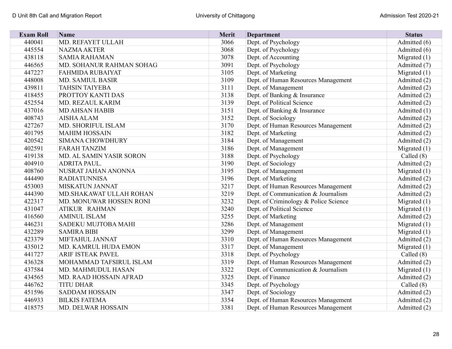| <b>Exam Roll</b> | Name                       | <b>Merit</b> | <b>Department</b>                     | <b>Status</b>  |
|------------------|----------------------------|--------------|---------------------------------------|----------------|
| 440041           | MD. REFAYET ULLAH          | 3066         | Dept. of Psychology                   | Admitted (6)   |
| 445554           | <b>NAZMA AKTER</b>         | 3068         | Dept. of Psychology                   | Admitted (6)   |
| 438118           | <b>SAMIA RAHAMAN</b>       | 3078         | Dept. of Accounting                   | Migrated $(1)$ |
| 446565           | MD. SOHANUR RAHMAN SOHAG   | 3091         | Dept. of Psychology                   | Admitted (7)   |
| 447227           | <b>FAHMIDA RUBAIYAT</b>    | 3105         | Dept. of Marketing                    | Migrated $(1)$ |
| 448008           | <b>MD. SAMIUL BASIR</b>    | 3109         | Dept. of Human Resources Management   | Admitted (2)   |
| 439811           | <b>TAHSIN TAIYEBA</b>      | 3111         | Dept. of Management                   | Admitted (2)   |
| 418455           | PROTTOY KANTI DAS          | 3138         | Dept. of Banking & Insurance          | Admitted (2)   |
| 452554           | <b>MD. REZAUL KARIM</b>    | 3139         | Dept. of Political Science            | Admitted (2)   |
| 437016           | <b>MD AHSAN HABIB</b>      | 3151         | Dept. of Banking & Insurance          | Admitted (1)   |
| 408743           | <b>AISHA ALAM</b>          | 3152         | Dept. of Sociology                    | Admitted (2)   |
| 427267           | MD. SHORIFUL ISLAM         | 3170         | Dept. of Human Resources Management   | Admitted (2)   |
| 401795           | <b>MAHIM HOSSAIN</b>       | 3182         | Dept. of Marketing                    | Admitted (2)   |
| 420542           | <b>SIMANA CHOWDHURY</b>    | 3184         | Dept. of Management                   | Admitted (2)   |
| 402591           | <b>FARAH TANZIM</b>        | 3186         | Dept. of Management                   | Migrated $(1)$ |
| 419138           | MD. AL SAMIN YASIR SORON   | 3188         | Dept. of Psychology                   | Called $(8)$   |
| 404910           | <b>ADRITA PAUL.</b>        | 3190         | Dept. of Sociology                    | Admitted (2)   |
| 408760           | NUSRAT JAHAN ANONNA        | 3195         | Dept. of Management                   | Migrated $(1)$ |
| 444490           | <b>RADIATUNNISA</b>        | 3196         | Dept. of Marketing                    | Admitted (2)   |
| 453003           | <b>MISKATUN JANNAT</b>     | 3217         | Dept. of Human Resources Management   | Admitted (2)   |
| 444390           | MD. SHAKAWAT ULLAH ROHAN   | 3219         | Dept. of Communication & Journalism   | Admitted (2)   |
| 422317           | MD. MONUWAR HOSSEN RONI    | 3232         | Dept. of Criminology & Police Science | Migrated $(1)$ |
| 431047           | ATIKUR RAHMAN              | 3240         | Dept. of Political Science            | Migrated $(1)$ |
| 416560           | <b>AMINUL ISLAM</b>        | 3255         | Dept. of Marketing                    | Admitted (2)   |
| 446231           | <b>SADEKU MUJTOBA MAHI</b> | 3286         | Dept. of Management                   | Migrated $(1)$ |
| 432289           | <b>SAMIRA BIBI</b>         | 3299         | Dept. of Management                   | Migrated $(1)$ |
| 423379           | MIFTAHUL JANNAT            | 3310         | Dept. of Human Resources Management   | Admitted (2)   |
| 435012           | MD. KAMRUL HUDA EMON       | 3317         | Dept. of Management                   | Migrated $(1)$ |
| 441727           | <b>ARIF ISTEAK PAVEL</b>   | 3318         | Dept. of Psychology                   | Called $(8)$   |
| 436328           | MOHAMMAD TAFSIRUL ISLAM    | 3319         | Dept. of Human Resources Management   | Admitted (2)   |
| 437584           | MD. MAHMUDUL HASAN         | 3322         | Dept. of Communication & Journalism   | Migrated $(1)$ |
| 434565           | MD. RAAD HOSSAIN AFRAD     | 3325         | Dept. of Finance                      | Admitted (2)   |
| 446762           | <b>TITU DHAR</b>           | 3345         | Dept. of Psychology                   | Called $(8)$   |
| 451596           | <b>SADDAM HOSSAIN</b>      | 3347         | Dept. of Sociology                    | Admitted (2)   |
| 446933           | <b>BILKIS FATEMA</b>       | 3354         | Dept. of Human Resources Management   | Admitted (2)   |
| 418575           | <b>MD. DELWAR HOSSAIN</b>  | 3381         | Dept. of Human Resources Management   | Admitted (2)   |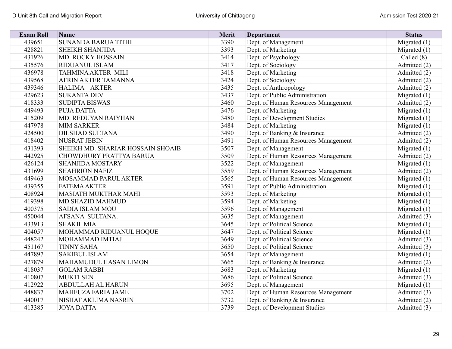| <b>Exam Roll</b> | <b>Name</b>                       | Merit | <b>Department</b>                   | <b>Status</b>  |
|------------------|-----------------------------------|-------|-------------------------------------|----------------|
| 439651           | <b>SUNANDA BARUA TITHI</b>        | 3390  | Dept. of Management                 | Migrated $(1)$ |
| 428821           | <b>SHEIKH SHANJIDA</b>            | 3393  | Dept. of Marketing                  | Migrated $(1)$ |
| 431926           | MD. ROCKY HOSSAIN                 | 3414  | Dept. of Psychology                 | Called $(8)$   |
| 435576           | RIDUANUL ISLAM                    | 3417  | Dept. of Sociology                  | Admitted (2)   |
| 436978           | TAHMINA AKTER MILI                | 3418  | Dept. of Marketing                  | Admitted (2)   |
| 439568           | AFRIN AKTER TAMANNA               | 3424  | Dept. of Sociology                  | Admitted (2)   |
| 439346           | HALIMA AKTER                      | 3435  | Dept. of Anthropology               | Admitted (2)   |
| 429623           | <b>SUKANTA DEV</b>                | 3437  | Dept. of Public Administration      | Migrated $(1)$ |
| 418333           | <b>SUDIPTA BISWAS</b>             | 3460  | Dept. of Human Resources Management | Admitted (2)   |
| 449493           | <b>PUJA DATTA</b>                 | 3476  | Dept. of Marketing                  | Migrated $(1)$ |
| 415209           | MD. REDUYAN RAIYHAN               | 3480  | Dept. of Development Studies        | Migrated $(1)$ |
| 447978           | <b>MIM SARKER</b>                 | 3484  | Dept. of Marketing                  | Migrated $(1)$ |
| 424500           | <b>DILSHAD SULTANA</b>            | 3490  | Dept. of Banking & Insurance        | Admitted (2)   |
| 418402           | <b>NUSRAT JEBIN</b>               | 3491  | Dept. of Human Resources Management | Admitted (2)   |
| 431393           | SHEIKH MD. SHARIAR HOSSAIN SHOAIB | 3507  | Dept. of Management                 | Migrated (1)   |
| 442925           | CHOWDHURY PRATTYA BARUA           | 3509  | Dept. of Human Resources Management | Admitted (2)   |
| 426124           | <b>SHANJIDA MOSTARY</b>           | 3522  | Dept. of Management                 | Migrated $(1)$ |
| 431699           | <b>SHAHRION NAFIZ</b>             | 3559  | Dept. of Human Resources Management | Admitted (2)   |
| 449463           | MOSAMMAD PARUL AKTER              | 3565  | Dept. of Human Resources Management | Migrated $(1)$ |
| 439355           | <b>FATEMA AKTER</b>               | 3591  | Dept. of Public Administration      | Migrated $(1)$ |
| 408924           | <b>MASIATH MUKTHAR MAHI</b>       | 3593  | Dept. of Marketing                  | Migrated (1)   |
| 419398           | <b>MD.SHAZID MAHMUD</b>           | 3594  | Dept. of Marketing                  | Migrated $(1)$ |
| 400375           | <b>SADIA ISLAM MOU</b>            | 3596  | Dept. of Management                 | Migrated $(1)$ |
| 450044           | AFSANA SULTANA.                   | 3635  | Dept. of Management                 | Admitted (3)   |
| 433913           | <b>SHAKIL MIA</b>                 | 3645  | Dept. of Political Science          | Migrated $(1)$ |
| 404057           | MOHAMMAD RIDUANUL HOQUE           | 3647  | Dept. of Political Science          | Migrated $(1)$ |
| 448242           | MOHAMMAD IMTIAJ                   | 3649  | Dept. of Political Science          | Admitted (3)   |
| 451167           | <b>TINNY SAHA</b>                 | 3650  | Dept. of Political Science          | Admitted (3)   |
| 447897           | <b>SAKIBUL ISLAM</b>              | 3654  | Dept. of Management                 | Migrated $(1)$ |
| 427879           | MAHAMUDUL HASAN LIMON             | 3665  | Dept. of Banking & Insurance        | Admitted (2)   |
| 418037           | <b>GOLAM RABBI</b>                | 3683  | Dept. of Marketing                  | Migrated $(1)$ |
| 410807           | <b>MUKTI SEN</b>                  | 3686  | Dept. of Political Science          | Admitted (3)   |
| 412922           | <b>ABDULLAH AL HARUN</b>          | 3695  | Dept. of Management                 | Migrated $(1)$ |
| 448837           | <b>MAHFUZA FARIA JAME</b>         | 3702  | Dept. of Human Resources Management | Admitted (3)   |
| 440017           | NISHAT AKLIMA NASRIN              | 3732  | Dept. of Banking & Insurance        | Admitted (2)   |
| 413385           | <b>JOYA DATTA</b>                 | 3739  | Dept. of Development Studies        | Admitted (3)   |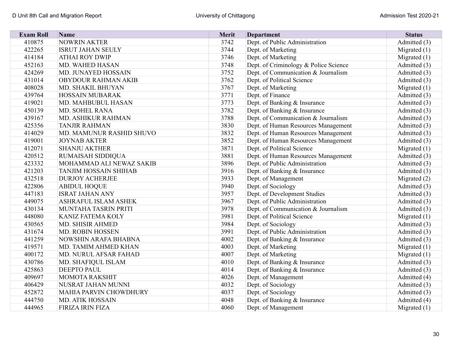| <b>Exam Roll</b> | Name                          | <b>Merit</b> | <b>Department</b>                     | <b>Status</b>  |
|------------------|-------------------------------|--------------|---------------------------------------|----------------|
| 410875           | <b>NOWRIN AKTER</b>           | 3742         | Dept. of Public Administration        | Admitted (3)   |
| 422265           | <b>ISRUT JAHAN SEULY</b>      | 3744         | Dept. of Marketing                    | Migrated (1)   |
| 414184           | <b>ATHAI ROY DWIP</b>         | 3746         | Dept. of Marketing                    | Migrated $(1)$ |
| 452163           | <b>MD. WAHED HASAN</b>        | 3748         | Dept. of Criminology & Police Science | Admitted (3)   |
| 424269           | <b>MD. JUNAYED HOSSAIN</b>    | 3752         | Dept. of Communication & Journalism   | Admitted (3)   |
| 431014           | OBYDOUR RAHMAN AKIB           | 3762         | Dept. of Political Science            | Admitted (3)   |
| 408028           | <b>MD. SHAKIL BHUYAN</b>      | 3767         | Dept. of Marketing                    | Migrated $(1)$ |
| 439764           | <b>HOSSAIN MUBARAK</b>        | 3771         | Dept. of Finance                      | Admitted (3)   |
| 419021           | MD. MAHBUBUL HASAN            | 3773         | Dept. of Banking & Insurance          | Admitted (3)   |
| 450139           | <b>MD. SOHEL RANA</b>         | 3782         | Dept. of Banking & Insurance          | Admitted (3)   |
| 439167           | MD. ASHIKUR RAHMAN            | 3788         | Dept. of Communication & Journalism   | Admitted (3)   |
| 425356           | <b>TANJIR RAHMAN</b>          | 3830         | Dept. of Human Resources Management   | Admitted (3)   |
| 414029           | MD. MAMUNUR RASHID SHUVO      | 3832         | Dept. of Human Resources Management   | Admitted (3)   |
| 419001           | <b>JOYNAB AKTER</b>           | 3852         | Dept. of Human Resources Management   | Admitted (3)   |
| 412071           | <b>SHANJU AKTHER</b>          | 3871         | Dept. of Political Science            | Migrated $(1)$ |
| 420512           | <b>RUMAISAH SIDDIQUA</b>      | 3881         | Dept. of Human Resources Management   | Admitted (3)   |
| 423332           | MOHAMMAD ALI NEWAZ SAKIB      | 3896         | Dept. of Public Administration        | Admitted (3)   |
| 421203           | <b>TANJIM HOSSAIN SHIHAB</b>  | 3916         | Dept. of Banking & Insurance          | Admitted (3)   |
| 432518           | <b>DURJOY ACHERJEE</b>        | 3933         | Dept. of Management                   | Migrated $(2)$ |
| 422806           | <b>ABIDUL HOQUE</b>           | 3940         | Dept. of Sociology                    | Admitted (3)   |
| 447183           | <b>ISRAT JAHAN ANY</b>        | 3957         | Dept. of Development Studies          | Admitted (3)   |
| 449075           | <b>ASHRAFUL ISLAM ASHEK</b>   | 3967         | Dept. of Public Administration        | Admitted (3)   |
| 430134           | MUNTAHA TASRIN PRITI          | 3978         | Dept. of Communication & Journalism   | Admitted (3)   |
| 448080           | <b>KANIZ FATEMA KOLY</b>      | 3981         | Dept. of Political Science            | Migrated $(1)$ |
| 430565           | <b>MD. SHISIR AHMED</b>       | 3984         | Dept. of Sociology                    | Admitted (3)   |
| 431674           | <b>MD. ROBIN HOSSEN</b>       | 3991         | Dept. of Public Administration        | Admitted (3)   |
| 441259           | NOWSHIN ARAFA BHABNA          | 4002         | Dept. of Banking & Insurance          | Admitted (3)   |
| 419571           | MD. TAMIM AHMED KHAN          | 4003         | Dept. of Marketing                    | Migrated $(1)$ |
| 400172           | MD. NURUL AFSAR FAHAD         | 4007         | Dept. of Marketing                    | Migrated $(1)$ |
| 430786           | MD. SHAFIQUL ISLAM            | 4010         | Dept. of Banking & Insurance          | Admitted (3)   |
| 425863           | <b>DEEPTO PAUL</b>            | 4014         | Dept. of Banking & Insurance          | Admitted (3)   |
| 409697           | <b>MOMOTA RAKSHIT</b>         | 4026         | Dept. of Management                   | Admitted (4)   |
| 406429           | NUSRAT JAHAN MUNNI            | 4032         | Dept. of Sociology                    | Admitted (3)   |
| 452872           | <b>MAHIA PARVIN CHOWDHURY</b> | 4037         | Dept. of Sociology                    | Admitted (3)   |
| 444750           | <b>MD. ATIK HOSSAIN</b>       | 4048         | Dept. of Banking & Insurance          | Admitted (4)   |
| 444965           | <b>FIRIZA IRIN FIZA</b>       | 4060         | Dept. of Management                   | Migrated $(1)$ |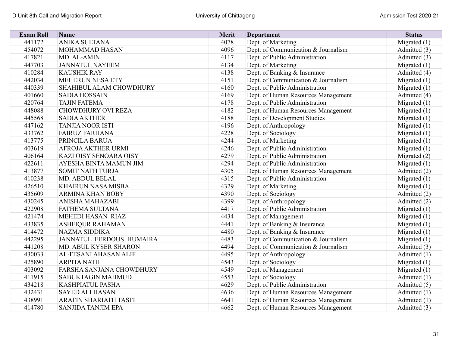| <b>Exam Roll</b> | Name                          | <b>Merit</b> | <b>Department</b>                   | <b>Status</b>  |
|------------------|-------------------------------|--------------|-------------------------------------|----------------|
| 441172           | <b>ANIKA SULTANA</b>          | 4078         | Dept. of Marketing                  | Migrated $(1)$ |
| 454072           | <b>MOHAMMAD HASAN</b>         | 4096         | Dept. of Communication & Journalism | Admitted (3)   |
| 417821           | MD. AL-AMIN                   | 4117         | Dept. of Public Administration      | Admitted (3)   |
| 447703           | <b>JANNATUL NAYEEM</b>        | 4134         | Dept. of Marketing                  | Migrated $(1)$ |
| 410284           | <b>KAUSHIK RAY</b>            | 4138         | Dept. of Banking & Insurance        | Admitted (4)   |
| 442034           | MEHERUN NESA ETY              | 4151         | Dept. of Communication & Journalism | Migrated $(1)$ |
| 440339           | SHAHIBUL ALAM CHOWDHURY       | 4160         | Dept. of Public Administration      | Migrated (1)   |
| 401660           | <b>SADIA HOSSAIN</b>          | 4169         | Dept. of Human Resources Management | Admitted (4)   |
| 420764           | <b>TAJIN FATEMA</b>           | 4178         | Dept. of Public Administration      | Migrated $(1)$ |
| 448088           | <b>CHOWDHURY OVI REZA</b>     | 4182         | Dept. of Human Resources Management | Migrated $(1)$ |
| 445568           | <b>SADIA AKTHER</b>           | 4188         | Dept. of Development Studies        | Migrated (1)   |
| 447162           | <b>TANJIA NOOR ISTI</b>       | 4196         | Dept. of Anthropology               | Migrated $(1)$ |
| 433762           | <b>FAIRUZ FARHANA</b>         | 4228         | Dept. of Sociology                  | Migrated $(1)$ |
| 413775           | PRINCILA BARUA                | 4244         | Dept. of Marketing                  | Migrated $(1)$ |
| 403619           | <b>AFROJA AKTHER URMI</b>     | 4246         | Dept. of Public Administration      | Migrated $(1)$ |
| 406164           | <b>KAZI OISY SENOARA OISY</b> | 4279         | Dept. of Public Administration      | Migrated $(2)$ |
| 422611           | AYESHA BINTA MAMUN JIM        | 4294         | Dept. of Public Administration      | Migrated $(1)$ |
| 413877           | <b>SOMIT NATH TURJA</b>       | 4305         | Dept. of Human Resources Management | Admitted (2)   |
| 410238           | MD. ABDUL BELAL               | 4315         | Dept. of Public Administration      | Migrated $(1)$ |
| 426510           | <b>KHAIRUN NASA MISBA</b>     | 4329         | Dept. of Marketing                  | Migrated $(1)$ |
| 435609           | <b>ARMINA KHAN BOBY</b>       | 4390         | Dept. of Sociology                  | Admitted (2)   |
| 430245           | <b>ANISHA MAHAZABI</b>        | 4399         | Dept. of Anthropology               | Admitted (2)   |
| 422908           | <b>FATHEMA SULTANA</b>        | 4417         | Dept. of Public Administration      | Migrated (1)   |
| 421474           | <b>MEHEDI HASAN RIAZ</b>      | 4434         | Dept. of Management                 | Migrated $(1)$ |
| 433835           | <b>ASHFIQUR RAHAMAN</b>       | 4441         | Dept. of Banking & Insurance        | Migrated $(1)$ |
| 414472           | <b>NAZMA SIDDIKA</b>          | 4480         | Dept. of Banking & Insurance        | Migrated $(1)$ |
| 442295           | JANNATUL FERDOUS HUMAIRA      | 4483         | Dept. of Communication & Journalism | Migrated $(1)$ |
| 441208           | MD. ABUL KYSER SHARON         | 4494         | Dept. of Communication & Journalism | Admitted (3)   |
| 430033           | AL-FESANI AHASAN ALIF         | 4495         | Dept. of Anthropology               | Admitted (1)   |
| 425890           | <b>ARPITA NATH</b>            | 4543         | Dept. of Sociology                  | Migrated $(1)$ |
| 403092           | FARSHA SANJANA CHOWDHURY      | 4549         | Dept. of Management                 | Migrated $(1)$ |
| 411915           | <b>SABUKTAGIN MAHMUD</b>      | 4553         | Dept. of Sociology                  | Admitted (1)   |
| 434218           | <b>KASHPIATUL PASHA</b>       | 4629         | Dept. of Public Administration      | Admitted (5)   |
| 432431           | <b>SAYED ALI HASAN</b>        | 4636         | Dept. of Human Resources Management | Admitted $(1)$ |
| 438991           | <b>ARAFIN SHARIATH TASFI</b>  | 4641         | Dept. of Human Resources Management | Admitted (1)   |
| 414780           | <b>SANJIDA TANJIM EPA</b>     | 4662         | Dept. of Human Resources Management | Admitted (3)   |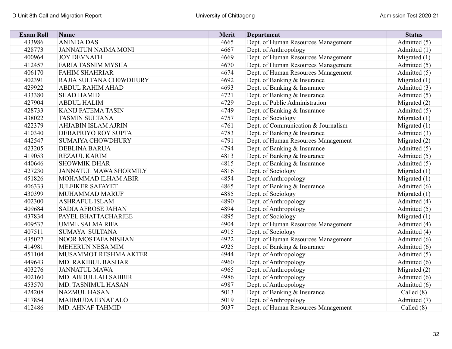| <b>Exam Roll</b> | Name                          | <b>Merit</b> | <b>Department</b>                   | <b>Status</b>  |
|------------------|-------------------------------|--------------|-------------------------------------|----------------|
| 433986           | <b>ANINDA DAS</b>             | 4665         | Dept. of Human Resources Management | Admitted (5)   |
| 428773           | <b>JANNATUN NAIMA MONI</b>    | 4667         | Dept. of Anthropology               | Admitted (1)   |
| 400964           | <b>JOY DEVNATH</b>            | 4669         | Dept. of Human Resources Management | Migrated $(1)$ |
| 412457           | <b>FARIA TASNIM MYSHA</b>     | 4670         | Dept. of Human Resources Management | Admitted (5)   |
| 406170           | <b>FAHIM SHAHRIAR</b>         | 4674         | Dept. of Human Resources Management | Admitted (5)   |
| 402391           | RAJIA SULTANA CH0WDHURY       | 4692         | Dept. of Banking & Insurance        | Migrated $(1)$ |
| 429922           | <b>ABDUL RAHIM AHAD</b>       | 4693         | Dept. of Banking & Insurance        | Admitted (3)   |
| 433380           | <b>SHAD HAMID</b>             | 4721         | Dept. of Banking & Insurance        | Admitted (5)   |
| 427904           | <b>ABDUL HALIM</b>            | 4729         | Dept. of Public Administration      | Migrated (2)   |
| 428733           | <b>KANIJ FATEMA TASIN</b>     | 4749         | Dept. of Banking & Insurance        | Admitted (5)   |
| 438022           | <b>TASMIN SULTANA</b>         | 4757         | Dept. of Sociology                  | Migrated $(1)$ |
| 422379           | <b>AHJABIN ISLAM AJRIN</b>    | 4761         | Dept. of Communication & Journalism | Migrated $(1)$ |
| 410340           | DEBAPRIYO ROY SUPTA           | 4783         | Dept. of Banking & Insurance        | Admitted (3)   |
| 442547           | <b>SUMAIYA CHOWDHURY</b>      | 4791         | Dept. of Human Resources Management | Migrated $(2)$ |
| 423205           | <b>DEBLINA BARUA</b>          | 4794         | Dept. of Banking & Insurance        | Admitted (5)   |
| 419053           | <b>REZAUL KARIM</b>           | 4813         | Dept. of Banking & Insurance        | Admitted (5)   |
| 440646           | <b>SHOWMIK DHAR</b>           | 4815         | Dept. of Banking & Insurance        | Admitted (5)   |
| 427230           | <b>JANNATUL MAWA SHORMILY</b> | 4816         | Dept. of Sociology                  | Migrated $(1)$ |
| 451826           | MOHAMMAD ILHAM ABIR           | 4854         | Dept. of Anthropology               | Migrated $(1)$ |
| 406333           | <b>JULFIKER SAFAYET</b>       | 4865         | Dept. of Banking & Insurance        | Admitted (6)   |
| 430399           | MUHAMMAD MARUF                | 4885         | Dept. of Sociology                  | Migrated $(1)$ |
| 402300           | <b>ASHRAFUL ISLAM</b>         | 4890         | Dept. of Anthropology               | Admitted (4)   |
| 409684           | <b>SADIA AFROSE JAHAN</b>     | 4894         | Dept. of Anthropology               | Admitted (5)   |
| 437834           | PAYEL BHATTACHARJEE           | 4895         | Dept. of Sociology                  | Migrated $(1)$ |
| 409537           | <b>UMME SALMA RIFA</b>        | 4904         | Dept. of Human Resources Management | Admitted (4)   |
| 407511           | <b>SUMAYA SULTANA</b>         | 4915         | Dept. of Sociology                  | Admitted (4)   |
| 435027           | <b>NOOR MOSTAFA NISHAN</b>    | 4922         | Dept. of Human Resources Management | Admitted (6)   |
| 414981           | MEHERUN NESA MIM              | 4925         | Dept. of Banking & Insurance        | Admitted (6)   |
| 451104           | MUSAMMOT RESHMA AKTER         | 4944         | Dept. of Anthropology               | Admitted (5)   |
| 449643           | MD. RAKIBUL BASHAR            | 4960         | Dept. of Anthropology               | Admitted (6)   |
| 403276           | <b>JANNATUL MAWA</b>          | 4965         | Dept. of Anthropology               | Migrated $(2)$ |
| 402160           | <b>MD. ABDULLAH SABBIR</b>    | 4986         | Dept. of Anthropology               | Admitted (6)   |
| 453570           | <b>MD. TASNIMUL HASAN</b>     | 4987         | Dept. of Anthropology               | Admitted (6)   |
| 424208           | <b>NAZMUL HASAN</b>           | 5013         | Dept. of Banking & Insurance        | Called $(8)$   |
| 417854           | <b>MAHMUDA IBNAT ALO</b>      | 5019         | Dept. of Anthropology               | Admitted (7)   |
| 412486           | <b>MD. AHNAF TAHMID</b>       | 5037         | Dept. of Human Resources Management | Called $(8)$   |